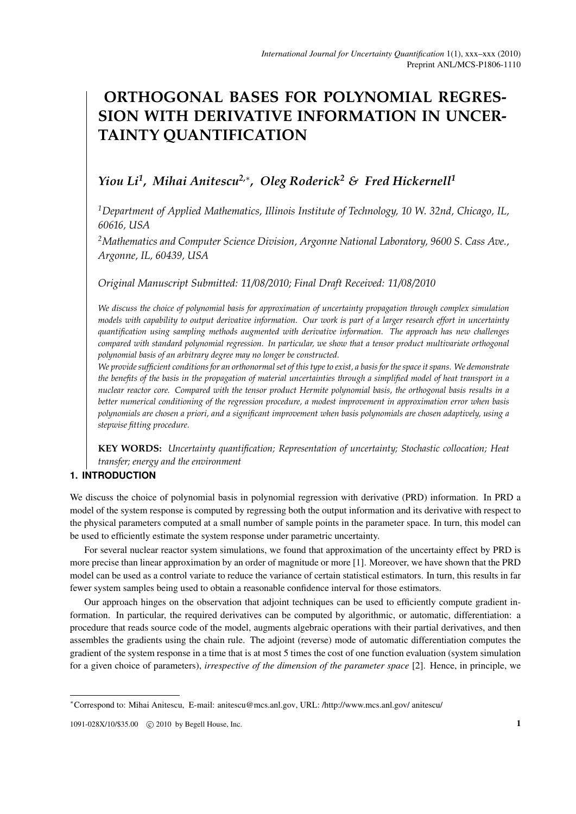# **ORTHOGONAL BASES FOR POLYNOMIAL REGRES-SION WITH DERIVATIVE INFORMATION IN UNCER-TAINTY QUANTIFICATION**

## *Yiou Li<sup>1</sup> , Mihai Anitescu2,<sup>∗</sup> , Oleg Roderick<sup>2</sup> & Fred Hickernell<sup>1</sup>*

*<sup>1</sup>Department of Applied Mathematics, Illinois Institute of Technology, 10 W. 32nd, Chicago, IL, 60616, USA*

*<sup>2</sup>Mathematics and Computer Science Division, Argonne National Laboratory, 9600 S. Cass Ave., Argonne, IL, 60439, USA*

*Original Manuscript Submitted: 11/08/2010; Final Draft Received: 11/08/2010*

*We discuss the choice of polynomial basis for approximation of uncertainty propagation through complex simulation models with capability to output derivative information. Our work is part of a larger research effort in uncertainty quantification using sampling methods augmented with derivative information. The approach has new challenges compared with standard polynomial regression. In particular, we show that a tensor product multivariate orthogonal polynomial basis of an arbitrary degree may no longer be constructed.*

*We provide sufficient conditions for an orthonormal set of this type to exist, a basis for the space it spans. We demonstrate the benefits of the basis in the propagation of material uncertainties through a simplified model of heat transport in a nuclear reactor core. Compared with the tensor product Hermite polynomial basis, the orthogonal basis results in a better numerical conditioning of the regression procedure, a modest improvement in approximation error when basis polynomials are chosen a priori, and a significant improvement when basis polynomials are chosen adaptively, using a stepwise fitting procedure.*

**KEY WORDS:** *Uncertainty quantification; Representation of uncertainty; Stochastic collocation; Heat transfer; energy and the environment*

## **1. INTRODUCTION**

We discuss the choice of polynomial basis in polynomial regression with derivative (PRD) information. In PRD a model of the system response is computed by regressing both the output information and its derivative with respect to the physical parameters computed at a small number of sample points in the parameter space. In turn, this model can be used to efficiently estimate the system response under parametric uncertainty.

For several nuclear reactor system simulations, we found that approximation of the uncertainty effect by PRD is more precise than linear approximation by an order of magnitude or more [1]. Moreover, we have shown that the PRD model can be used as a control variate to reduce the variance of certain statistical estimators. In turn, this results in far fewer system samples being used to obtain a reasonable confidence interval for those estimators.

Our approach hinges on the observation that adjoint techniques can be used to efficiently compute gradient information. In particular, the required derivatives can be computed by algorithmic, or automatic, differentiation: a procedure that reads source code of the model, augments algebraic operations with their partial derivatives, and then assembles the gradients using the chain rule. The adjoint (reverse) mode of automatic differentiation computes the gradient of the system response in a time that is at most 5 times the cost of one function evaluation (system simulation for a given choice of parameters), *irrespective of the dimension of the parameter space* [2]. Hence, in principle, we

*<sup>∗</sup>*Correspond to: Mihai Anitescu, E-mail: anitescu@mcs.anl.gov, URL: /http://www.mcs.anl.gov/ anitescu/

<sup>1091-028</sup>X/10/\$35.00 *<i>*</sup>C 2010 by Begell House, Inc. 1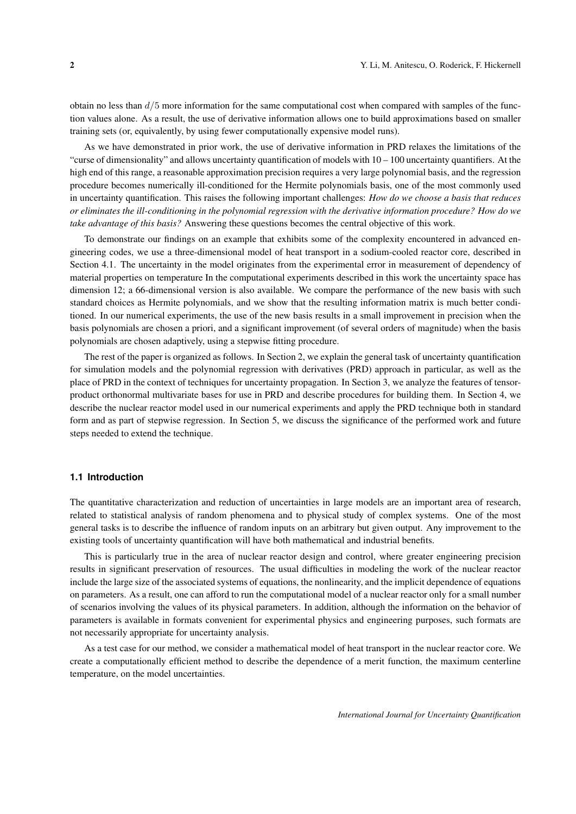obtain no less than *d/*5 more information for the same computational cost when compared with samples of the function values alone. As a result, the use of derivative information allows one to build approximations based on smaller training sets (or, equivalently, by using fewer computationally expensive model runs).

As we have demonstrated in prior work, the use of derivative information in PRD relaxes the limitations of the "curse of dimensionality" and allows uncertainty quantification of models with  $10 - 100$  uncertainty quantifiers. At the high end of this range, a reasonable approximation precision requires a very large polynomial basis, and the regression procedure becomes numerically ill-conditioned for the Hermite polynomials basis, one of the most commonly used in uncertainty quantification. This raises the following important challenges: *How do we choose a basis that reduces or eliminates the ill-conditioning in the polynomial regression with the derivative information procedure? How do we take advantage of this basis?* Answering these questions becomes the central objective of this work.

To demonstrate our findings on an example that exhibits some of the complexity encountered in advanced engineering codes, we use a three-dimensional model of heat transport in a sodium-cooled reactor core, described in Section 4.1. The uncertainty in the model originates from the experimental error in measurement of dependency of material properties on temperature In the computational experiments described in this work the uncertainty space has dimension 12; a 66-dimensional version is also available. We compare the performance of the new basis with such standard choices as Hermite polynomials, and we show that the resulting information matrix is much better conditioned. In our numerical experiments, the use of the new basis results in a small improvement in precision when the basis polynomials are chosen a priori, and a significant improvement (of several orders of magnitude) when the basis polynomials are chosen adaptively, using a stepwise fitting procedure.

The rest of the paper is organized as follows. In Section 2, we explain the general task of uncertainty quantification for simulation models and the polynomial regression with derivatives (PRD) approach in particular, as well as the place of PRD in the context of techniques for uncertainty propagation. In Section 3, we analyze the features of tensorproduct orthonormal multivariate bases for use in PRD and describe procedures for building them. In Section 4, we describe the nuclear reactor model used in our numerical experiments and apply the PRD technique both in standard form and as part of stepwise regression. In Section 5, we discuss the significance of the performed work and future steps needed to extend the technique.

#### **1.1 Introduction**

The quantitative characterization and reduction of uncertainties in large models are an important area of research, related to statistical analysis of random phenomena and to physical study of complex systems. One of the most general tasks is to describe the influence of random inputs on an arbitrary but given output. Any improvement to the existing tools of uncertainty quantification will have both mathematical and industrial benefits.

This is particularly true in the area of nuclear reactor design and control, where greater engineering precision results in significant preservation of resources. The usual difficulties in modeling the work of the nuclear reactor include the large size of the associated systems of equations, the nonlinearity, and the implicit dependence of equations on parameters. As a result, one can afford to run the computational model of a nuclear reactor only for a small number of scenarios involving the values of its physical parameters. In addition, although the information on the behavior of parameters is available in formats convenient for experimental physics and engineering purposes, such formats are not necessarily appropriate for uncertainty analysis.

As a test case for our method, we consider a mathematical model of heat transport in the nuclear reactor core. We create a computationally efficient method to describe the dependence of a merit function, the maximum centerline temperature, on the model uncertainties.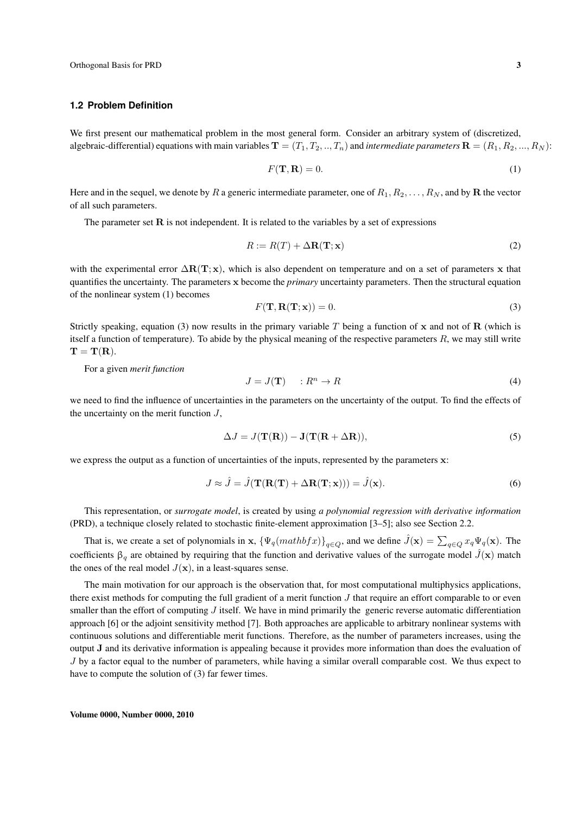#### **1.2 Problem Definition**

We first present our mathematical problem in the most general form. Consider an arbitrary system of (discretized, algebraic-differential) equations with main variables  $\mathbf{T} = (T_1, T_2, ..., T_n)$  and *intermediate parameters*  $\mathbf{R} = (R_1, R_2, ..., R_N)$ :

$$
F(\mathbf{T}, \mathbf{R}) = 0. \tag{1}
$$

Here and in the sequel, we denote by *R* a generic intermediate parameter, one of  $R_1, R_2, \ldots, R_N$ , and by **R** the vector of all such parameters.

The parameter set  $\bf R$  is not independent. It is related to the variables by a set of expressions

$$
R := R(T) + \Delta \mathbf{R}(\mathbf{T}; \mathbf{x}) \tag{2}
$$

with the experimental error ∆**R**(**T**; **x**), which is also dependent on temperature and on a set of parameters **x** that quantifies the uncertainty. The parameters **x** become the *primary* uncertainty parameters. Then the structural equation of the nonlinear system (1) becomes

$$
F(\mathbf{T}, \mathbf{R}(\mathbf{T}; \mathbf{x})) = 0.
$$
 (3)

Strictly speaking, equation (3) now results in the primary variable *T* being a function of **x** and not of **R** (which is itself a function of temperature). To abide by the physical meaning of the respective parameters *R*, we may still write  $\mathbf{T} = \mathbf{T}(\mathbf{R}).$ 

For a given *merit function*

$$
J = J(\mathbf{T}) \qquad : R^n \to R \tag{4}
$$

we need to find the influence of uncertainties in the parameters on the uncertainty of the output. To find the effects of the uncertainty on the merit function *J*,

$$
\Delta J = J(\mathbf{T}(\mathbf{R})) - \mathbf{J}(\mathbf{T}(\mathbf{R} + \Delta \mathbf{R})),\tag{5}
$$

we express the output as a function of uncertainties of the inputs, represented by the parameters **x**:

$$
J \approx \hat{J} = \hat{J}(\mathbf{T}(\mathbf{R}(\mathbf{T}) + \Delta \mathbf{R}(\mathbf{T}; \mathbf{x}))) = \hat{J}(\mathbf{x}).
$$
\n(6)

This representation, or *surrogate model*, is created by using *a polynomial regression with derivative information* (PRD), a technique closely related to stochastic finite-element approximation [3–5]; also see Section 2.2.

That is, we create a set of polynomials in **x**,  $\{\Psi_q(mathbf x) \}_{q \in Q}$ , and we define  $\hat{J}(\mathbf{x}) = \sum_{q \in Q} x_q \Psi_q(\mathbf{x})$ . The coefficients β<sub>*q*</sub> are obtained by requiring that the function and derivative values of the surrogate model  $\hat{J}$ (**x**) match the ones of the real model  $J(\mathbf{x})$ , in a least-squares sense.

The main motivation for our approach is the observation that, for most computational multiphysics applications, there exist methods for computing the full gradient of a merit function *J* that require an effort comparable to or even smaller than the effort of computing *J* itself. We have in mind primarily the generic reverse automatic differentiation approach [6] or the adjoint sensitivity method [7]. Both approaches are applicable to arbitrary nonlinear systems with continuous solutions and differentiable merit functions. Therefore, as the number of parameters increases, using the output **J** and its derivative information is appealing because it provides more information than does the evaluation of *J* by a factor equal to the number of parameters, while having a similar overall comparable cost. We thus expect to have to compute the solution of (3) far fewer times.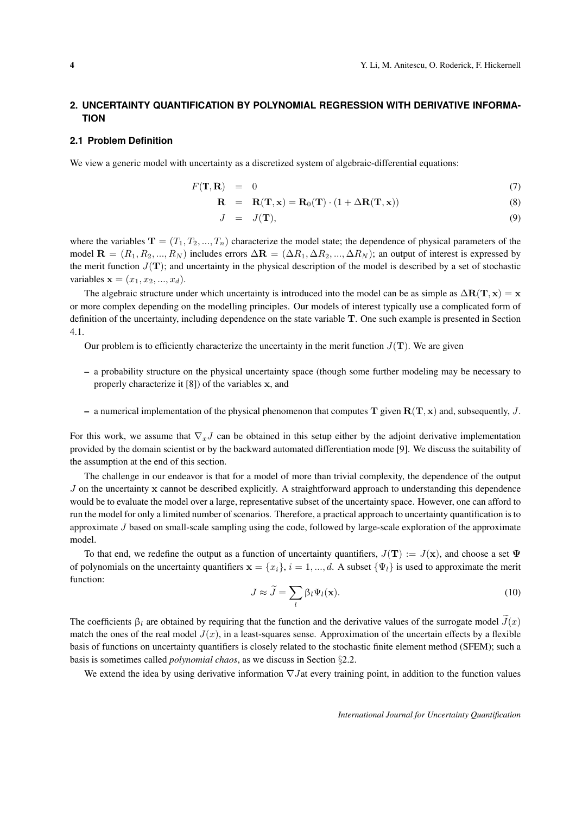## **2. UNCERTAINTY QUANTIFICATION BY POLYNOMIAL REGRESSION WITH DERIVATIVE INFORMA-TION**

### **2.1 Problem Definition**

We view a generic model with uncertainty as a discretized system of algebraic-differential equations:

$$
F(\mathbf{T}, \mathbf{R}) = 0 \tag{7}
$$

$$
\mathbf{R} = \mathbf{R}(\mathbf{T}, \mathbf{x}) = \mathbf{R}_0(\mathbf{T}) \cdot (1 + \Delta \mathbf{R}(\mathbf{T}, \mathbf{x})) \tag{8}
$$

$$
J = J(\mathbf{T}), \tag{9}
$$

where the variables  $\mathbf{T} = (T_1, T_2, ..., T_n)$  characterize the model state; the dependence of physical parameters of the model  $\mathbf{R} = (R_1, R_2, ..., R_N)$  includes errors  $\Delta \mathbf{R} = (\Delta R_1, \Delta R_2, ..., \Delta R_N)$ ; an output of interest is expressed by the merit function  $J(T)$ ; and uncertainty in the physical description of the model is described by a set of stochastic *variables*  $x = (x_1, x_2, ..., x_d)$ .

The algebraic structure under which uncertainty is introduced into the model can be as simple as  $\Delta \mathbf{R}(\mathbf{T}, \mathbf{x}) = \mathbf{x}$ or more complex depending on the modelling principles. Our models of interest typically use a complicated form of definition of the uncertainty, including dependence on the state variable **T**. One such example is presented in Section 4.1.

Our problem is to efficiently characterize the uncertainty in the merit function  $J(\mathbf{T})$ . We are given

- a probability structure on the physical uncertainty space (though some further modeling may be necessary to properly characterize it [8]) of the variables **x**, and
- a numerical implementation of the physical phenomenon that computes **T** given **R**(**T***,* **x**) and, subsequently, *J*.

For this work, we assume that  $\nabla_x J$  can be obtained in this setup either by the adjoint derivative implementation provided by the domain scientist or by the backward automated differentiation mode [9]. We discuss the suitability of the assumption at the end of this section.

The challenge in our endeavor is that for a model of more than trivial complexity, the dependence of the output *J* on the uncertainty **x** cannot be described explicitly. A straightforward approach to understanding this dependence would be to evaluate the model over a large, representative subset of the uncertainty space. However, one can afford to run the model for only a limited number of scenarios. Therefore, a practical approach to uncertainty quantification is to approximate *J* based on small-scale sampling using the code, followed by large-scale exploration of the approximate model.

To that end, we redefine the output as a function of uncertainty quantifiers,  $J(\mathbf{T}) := J(\mathbf{x})$ , and choose a set  $\Psi$ of polynomials on the uncertainty quantifiers  $\mathbf{x} = \{x_i\}$ ,  $i = 1, \dots, d$ . A subset  $\{\Psi_l\}$  is used to approximate the merit function:

$$
J \approx \widetilde{J} = \sum_{l} \beta_l \Psi_l(\mathbf{x}). \tag{10}
$$

The coefficients  $\beta_l$  are obtained by requiring that the function and the derivative values of the surrogate model  $\tilde{J}(x)$ match the ones of the real model  $J(x)$ , in a least-squares sense. Approximation of the uncertain effects by a flexible basis of functions on uncertainty quantifiers is closely related to the stochastic finite element method (SFEM); such a basis is sometimes called *polynomial chaos*, as we discuss in Section *§*2.2.

We extend the idea by using derivative information *∇J*at every training point, in addition to the function values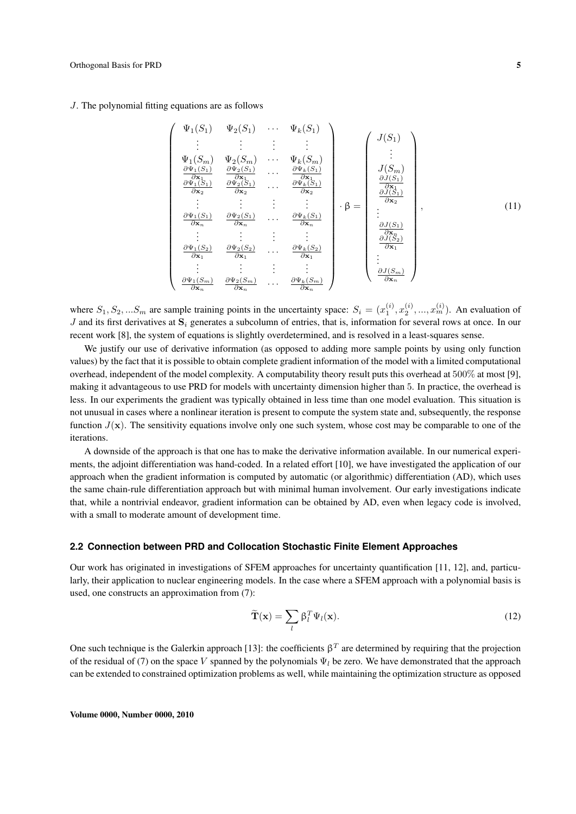*J*. The polynomial fitting equations are as follows

$$
\begin{pmatrix}\n\Psi_{1}(S_{1}) & \Psi_{2}(S_{1}) & \cdots & \Psi_{k}(S_{1}) \\
\vdots & \vdots & \vdots & \vdots \\
\Psi_{1}(S_{m}) & \Psi_{2}(S_{m}) & \cdots & \Psi_{k}(S_{m}) \\
\frac{\partial \Psi_{1}(S_{1})}{\partial x_{1}} & \frac{\partial \Psi_{2}(S_{1})}{\partial x_{1}} & \cdots & \frac{\partial \Psi_{k}(S_{1})}{\partial x_{1}} \\
\frac{\partial \Psi_{1}(S_{1})}{\partial x_{2}} & \frac{\partial \Psi_{2}(S_{1})}{\partial x_{2}} & \cdots & \frac{\partial \Psi_{k}(S_{1})}{\partial x_{2}} \\
\vdots & \vdots & \vdots & \vdots \\
\frac{\partial \Psi_{1}(S_{1})}{\partial x_{n}} & \frac{\partial \Psi_{2}(S_{1})}{\partial x_{n}} & \cdots & \frac{\partial \Psi_{k}(S_{1})}{\partial x_{n}} \\
\vdots & \vdots & \vdots & \vdots \\
\frac{\partial \Psi_{1}(S_{2})}{\partial x_{1}} & \frac{\partial \Psi_{2}(S_{2})}{\partial x_{1}} & \cdots & \frac{\partial \Psi_{k}(S_{2})}{\partial x_{1}} \\
\vdots & \vdots & \vdots & \vdots \\
\frac{\partial \Psi_{1}(S_{2})}{\partial x_{1}} & \frac{\partial \Psi_{2}(S_{2})}{\partial x_{1}} & \cdots & \frac{\partial \Psi_{k}(S_{2})}{\partial x_{1}} \\
\vdots & \vdots & \vdots & \vdots \\
\frac{\partial \Psi_{1}(S_{m})}{\partial x_{n}} & \frac{\partial \Psi_{2}(S_{m})}{\partial x_{m}} & \cdots & \frac{\partial \Psi_{k}(S_{m})}{\partial x_{n}}\n\end{pmatrix}
$$
\n
$$
(11)
$$

where  $S_1, S_2, \ldots, S_m$  are sample training points in the uncertainty space:  $S_i = (x_1^{(i)}, x_2^{(i)}, \ldots, x_m^{(i)})$ . An evaluation of *J* and its first derivatives at **S***<sup>i</sup>* generates a subcolumn of entries, that is, information for several rows at once. In our recent work [8], the system of equations is slightly overdetermined, and is resolved in a least-squares sense.

We justify our use of derivative information (as opposed to adding more sample points by using only function values) by the fact that it is possible to obtain complete gradient information of the model with a limited computational overhead, independent of the model complexity. A computability theory result puts this overhead at 500% at most [9], making it advantageous to use PRD for models with uncertainty dimension higher than 5. In practice, the overhead is less. In our experiments the gradient was typically obtained in less time than one model evaluation. This situation is not unusual in cases where a nonlinear iteration is present to compute the system state and, subsequently, the response function  $J(\mathbf{x})$ . The sensitivity equations involve only one such system, whose cost may be comparable to one of the iterations.

A downside of the approach is that one has to make the derivative information available. In our numerical experiments, the adjoint differentiation was hand-coded. In a related effort [10], we have investigated the application of our approach when the gradient information is computed by automatic (or algorithmic) differentiation (AD), which uses the same chain-rule differentiation approach but with minimal human involvement. Our early investigations indicate that, while a nontrivial endeavor, gradient information can be obtained by AD, even when legacy code is involved, with a small to moderate amount of development time.

### **2.2 Connection between PRD and Collocation Stochastic Finite Element Approaches**

Our work has originated in investigations of SFEM approaches for uncertainty quantification [11, 12], and, particularly, their application to nuclear engineering models. In the case where a SFEM approach with a polynomial basis is used, one constructs an approximation from (7):

$$
\widetilde{\mathbf{T}}(\mathbf{x}) = \sum_{l} \beta_l^T \Psi_l(\mathbf{x}). \tag{12}
$$

One such technique is the Galerkin approach [13]: the coefficients  $\beta^T$  are determined by requiring that the projection of the residual of (7) on the space *V* spanned by the polynomials  $\Psi_l$  be zero. We have demonstrated that the approach can be extended to constrained optimization problems as well, while maintaining the optimization structure as opposed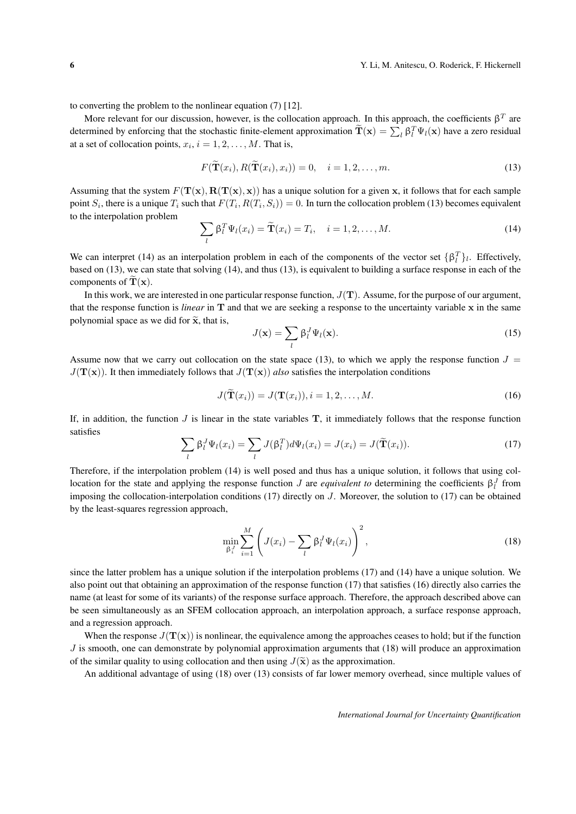to converting the problem to the nonlinear equation (7) [12].

More relevant for our discussion, however, is the collocation approach. In this approach, the coefficients  $\beta^T$  are determined by enforcing that the stochastic finite-element approximation  $\mathbf{T}(\mathbf{x}) = \sum_l \beta_l^T \Psi_l(\mathbf{x})$  have a zero residual at a set of collocation points,  $x_i$ ,  $i = 1, 2, \dots, M$ . That is,

$$
F(\mathbf{T}(x_i), R(\mathbf{T}(x_i), x_i)) = 0, \quad i = 1, 2, ..., m.
$$
 (13)

Assuming that the system  $F(T(x), R(T(x), x))$  has a unique solution for a given x, it follows that for each sample point  $S_i$ , there is a unique  $T_i$  such that  $F(T_i, R(T_i, S_i)) = 0$ . In turn the collocation problem (13) becomes equivalent to the interpolation problem

$$
\sum_{l} \beta_l^T \Psi_l(x_i) = \tilde{\mathbf{T}}(x_i) = T_i, \quad i = 1, 2, \dots, M.
$$
 (14)

We can interpret (14) as an interpolation problem in each of the components of the vector set  ${\beta_i^T}_i$ . Effectively, based on (13), we can state that solving (14), and thus (13), is equivalent to building a surface response in each of the components of  $\tilde{\mathbf{T}}(\mathbf{x})$ .

In this work, we are interested in one particular response function,  $J(T)$ . Assume, for the purpose of our argument, that the response function is *linear* in **T** and that we are seeking a response to the uncertainty variable **x** in the same polynomial space as we did for  $\tilde{\mathbf{x}}$ , that is,

$$
J(\mathbf{x}) = \sum_{l} \beta_l^J \Psi_l(\mathbf{x}).
$$
\n(15)

Assume now that we carry out collocation on the state space (13), to which we apply the response function  $J =$  $J(\mathbf{T}(\mathbf{x}))$ . It then immediately follows that  $J(\mathbf{T}(\mathbf{x}))$  *also* satisfies the interpolation conditions

$$
J(\mathbf{T}(x_i)) = J(\mathbf{T}(x_i)), i = 1, 2, \dots, M.
$$
\n
$$
(16)
$$

If, in addition, the function *J* is linear in the state variables **T**, it immediately follows that the response function satisfies

$$
\sum_{l} \beta_l^J \Psi_l(x_i) = \sum_{l} J(\beta_l^T) d\Psi_l(x_i) = J(x_i) = J(\tilde{\mathbf{T}}(x_i)).
$$
\n(17)

Therefore, if the interpolation problem (14) is well posed and thus has a unique solution, it follows that using collocation for the state and applying the response function *J* are *equivalent to* determining the coefficients  $\beta_l^J$  from imposing the collocation-interpolation conditions (17) directly on *J*. Moreover, the solution to (17) can be obtained by the least-squares regression approach,

$$
\min_{\beta_i^J} \sum_{i=1}^M \left( J(x_i) - \sum_l \beta_l^J \Psi_l(x_i) \right)^2, \tag{18}
$$

since the latter problem has a unique solution if the interpolation problems (17) and (14) have a unique solution. We also point out that obtaining an approximation of the response function (17) that satisfies (16) directly also carries the name (at least for some of its variants) of the response surface approach. Therefore, the approach described above can be seen simultaneously as an SFEM collocation approach, an interpolation approach, a surface response approach, and a regression approach.

When the response  $J(T(\mathbf{x}))$  is nonlinear, the equivalence among the approaches ceases to hold; but if the function *J* is smooth, one can demonstrate by polynomial approximation arguments that (18) will produce an approximation of the similar quality to using collocation and then using  $J(\tilde{\mathbf{x}})$  as the approximation.

An additional advantage of using (18) over (13) consists of far lower memory overhead, since multiple values of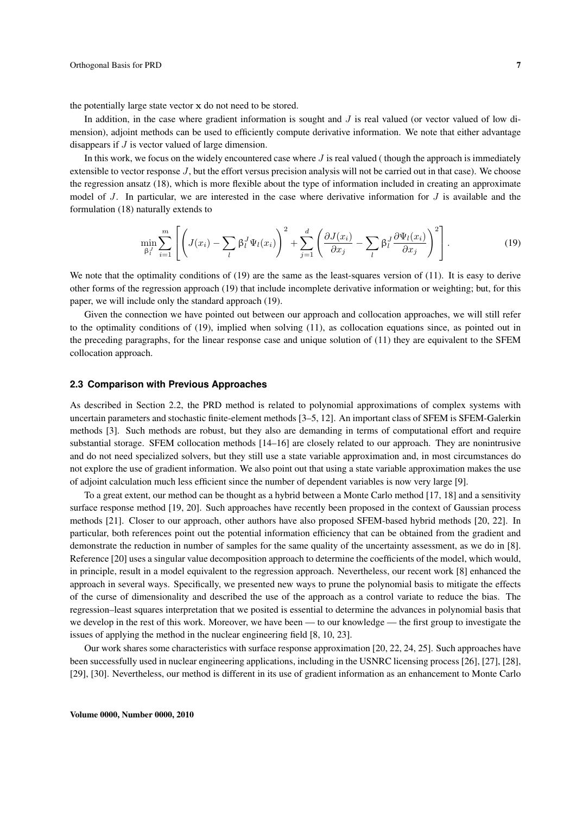the potentially large state vector **x** do not need to be stored.

In addition, in the case where gradient information is sought and *J* is real valued (or vector valued of low dimension), adjoint methods can be used to efficiently compute derivative information. We note that either advantage disappears if *J* is vector valued of large dimension.

In this work, we focus on the widely encountered case where *J* is real valued ( though the approach is immediately extensible to vector response *J*, but the effort versus precision analysis will not be carried out in that case). We choose the regression ansatz (18), which is more flexible about the type of information included in creating an approximate model of *J*. In particular, we are interested in the case where derivative information for *J* is available and the formulation (18) naturally extends to

$$
\min_{\beta_l^J} \sum_{i=1}^m \left[ \left( J(x_i) - \sum_l \beta_l^J \Psi_l(x_i) \right)^2 + \sum_{j=1}^d \left( \frac{\partial J(x_i)}{\partial x_j} - \sum_l \beta_l^J \frac{\partial \Psi_l(x_i)}{\partial x_j} \right)^2 \right].
$$
\n(19)

We note that the optimality conditions of (19) are the same as the least-squares version of (11). It is easy to derive other forms of the regression approach (19) that include incomplete derivative information or weighting; but, for this paper, we will include only the standard approach (19).

Given the connection we have pointed out between our approach and collocation approaches, we will still refer to the optimality conditions of (19), implied when solving (11), as collocation equations since, as pointed out in the preceding paragraphs, for the linear response case and unique solution of (11) they are equivalent to the SFEM collocation approach.

#### **2.3 Comparison with Previous Approaches**

As described in Section 2.2, the PRD method is related to polynomial approximations of complex systems with uncertain parameters and stochastic finite-element methods [3–5, 12]. An important class of SFEM is SFEM-Galerkin methods [3]. Such methods are robust, but they also are demanding in terms of computational effort and require substantial storage. SFEM collocation methods [14–16] are closely related to our approach. They are nonintrusive and do not need specialized solvers, but they still use a state variable approximation and, in most circumstances do not explore the use of gradient information. We also point out that using a state variable approximation makes the use of adjoint calculation much less efficient since the number of dependent variables is now very large [9].

To a great extent, our method can be thought as a hybrid between a Monte Carlo method [17, 18] and a sensitivity surface response method [19, 20]. Such approaches have recently been proposed in the context of Gaussian process methods [21]. Closer to our approach, other authors have also proposed SFEM-based hybrid methods [20, 22]. In particular, both references point out the potential information efficiency that can be obtained from the gradient and demonstrate the reduction in number of samples for the same quality of the uncertainty assessment, as we do in [8]. Reference [20] uses a singular value decomposition approach to determine the coefficients of the model, which would, in principle, result in a model equivalent to the regression approach. Nevertheless, our recent work [8] enhanced the approach in several ways. Specifically, we presented new ways to prune the polynomial basis to mitigate the effects of the curse of dimensionality and described the use of the approach as a control variate to reduce the bias. The regression–least squares interpretation that we posited is essential to determine the advances in polynomial basis that we develop in the rest of this work. Moreover, we have been — to our knowledge — the first group to investigate the issues of applying the method in the nuclear engineering field [8, 10, 23].

Our work shares some characteristics with surface response approximation [20, 22, 24, 25]. Such approaches have been successfully used in nuclear engineering applications, including in the USNRC licensing process [26], [27], [28], [29], [30]. Nevertheless, our method is different in its use of gradient information as an enhancement to Monte Carlo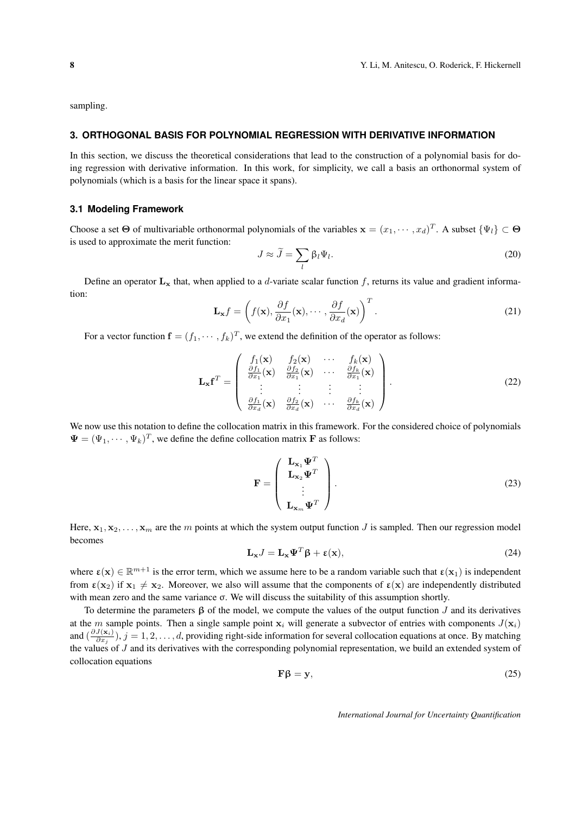sampling.

## **3. ORTHOGONAL BASIS FOR POLYNOMIAL REGRESSION WITH DERIVATIVE INFORMATION**

In this section, we discuss the theoretical considerations that lead to the construction of a polynomial basis for doing regression with derivative information. In this work, for simplicity, we call a basis an orthonormal system of polynomials (which is a basis for the linear space it spans).

## **3.1 Modeling Framework**

Choose a set  $\Theta$  of multivariable orthonormal polynomials of the variables  $\mathbf{x} = (x_1, \dots, x_d)^T$ . A subset  $\{\Psi_l\} \subset \Theta$ is used to approximate the merit function:

$$
J \approx \widetilde{J} = \sum_{l} \beta_l \Psi_l.
$$
 (20)

Define an operator  $\mathbf{L}_{\mathbf{x}}$  that, when applied to a *d*-variate scalar function f, returns its value and gradient information:

$$
\mathbf{L}_{\mathbf{x}}f = \left(f(\mathbf{x}), \frac{\partial f}{\partial x_1}(\mathbf{x}), \cdots, \frac{\partial f}{\partial x_d}(\mathbf{x})\right)^T.
$$
 (21)

For a vector function  $\mathbf{f} = (f_1, \dots, f_k)^T$ , we extend the definition of the operator as follows:

$$
\mathbf{L}_{\mathbf{x}}\mathbf{f}^{T} = \begin{pmatrix} f_{1}(\mathbf{x}) & f_{2}(\mathbf{x}) & \cdots & f_{k}(\mathbf{x}) \\ \frac{\partial f_{1}}{\partial x_{1}}(\mathbf{x}) & \frac{\partial f_{2}}{\partial x_{1}}(\mathbf{x}) & \cdots & \frac{\partial f_{k}}{\partial x_{1}}(\mathbf{x}) \\ \vdots & \vdots & \vdots & \vdots \\ \frac{\partial f_{1}}{\partial x_{d}}(\mathbf{x}) & \frac{\partial f_{2}}{\partial x_{d}}(\mathbf{x}) & \cdots & \frac{\partial f_{k}}{\partial x_{d}}(\mathbf{x}) \end{pmatrix}.
$$
 (22)

We now use this notation to define the collocation matrix in this framework. For the considered choice of polynomials  $\Psi = (\Psi_1, \dots, \Psi_k)^T$ , we define the define collocation matrix **F** as follows:

$$
\mathbf{F} = \begin{pmatrix} \mathbf{L}_{\mathbf{x}_1} \boldsymbol{\Psi}^T \\ \mathbf{L}_{\mathbf{x}_2} \boldsymbol{\Psi}^T \\ \vdots \\ \mathbf{L}_{\mathbf{x}_m} \boldsymbol{\Psi}^T \end{pmatrix} .
$$
 (23)

Here,  $x_1, x_2, \ldots, x_m$  are the *m* points at which the system output function *J* is sampled. Then our regression model becomes

$$
\mathbf{L}_{\mathbf{x}}J = \mathbf{L}_{\mathbf{x}}\Psi^{T}\boldsymbol{\beta} + \varepsilon(\mathbf{x}),
$$
\n(24)

where  $\mathbf{\varepsilon}(\mathbf{x}) \in \mathbb{R}^{m+1}$  is the error term, which we assume here to be a random variable such that  $\mathbf{\varepsilon}(\mathbf{x}_1)$  is independent from  $\epsilon(\mathbf{x}_2)$  if  $\mathbf{x}_1 \neq \mathbf{x}_2$ . Moreover, we also will assume that the components of  $\epsilon(\mathbf{x})$  are independently distributed with mean zero and the same variance σ. We will discuss the suitability of this assumption shortly.

To determine the parameters **β** of the model, we compute the values of the output function *J* and its derivatives at the *m* sample points. Then a single sample point  $\mathbf{x}_i$  will generate a subvector of entries with components  $J(\mathbf{x}_i)$ and  $\left(\frac{\partial J(\mathbf{x}_i)}{\partial x}\right)$  $J(\mathbf{x}_i)$ ,  $j = 1, 2, \dots, d$ , providing right-side information for several collocation equations at once. By matching the values of *J* and its derivatives with the corresponding polynomial representation, we build an extended system of collocation equations

$$
\mathbf{F}\beta = \mathbf{y},\tag{25}
$$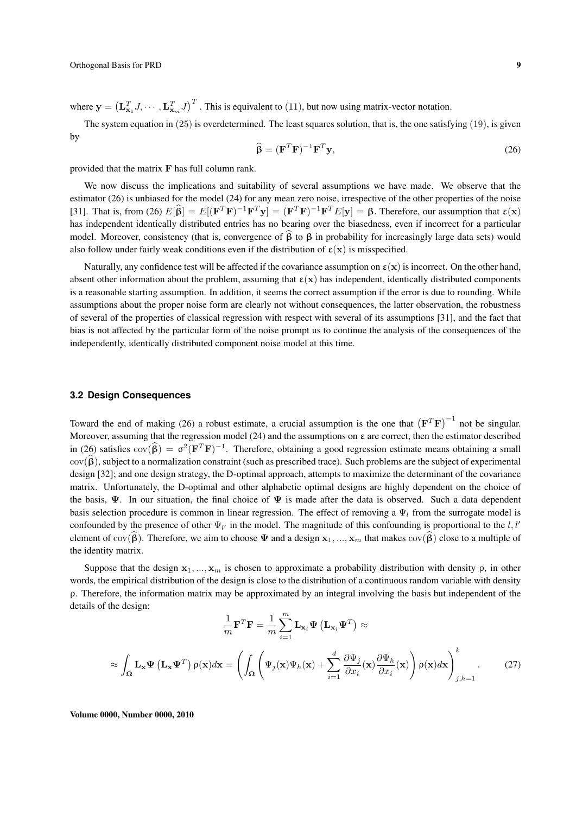where  $\mathbf{y} = (\mathbf{L}_{\mathbf{x}_1}^T J, \cdots, \mathbf{L}_{\mathbf{x}_m}^T J)^T$ . This is equivalent to (11), but now using matrix-vector notation.

The system equation in  $(25)$  is overdetermined. The least squares solution, that is, the one satisfying  $(19)$ , is given by

$$
\widehat{\beta} = (\mathbf{F}^T \mathbf{F})^{-1} \mathbf{F}^T \mathbf{y},\tag{26}
$$

provided that the matrix **F** has full column rank.

We now discuss the implications and suitability of several assumptions we have made. We observe that the estimator (26) is unbiased for the model (24) for any mean zero noise, irrespective of the other properties of the noise [31]. That is, from (26)  $E[\hat{\beta}] = E[(\mathbf{F}^T \mathbf{F})^{-1} \mathbf{F}^T \mathbf{y}] = (\mathbf{F}^T \mathbf{F})^{-1} \mathbf{F}^T E[\mathbf{y}] = \beta$ . Therefore, our assumption that  $\varepsilon(\mathbf{x})$ has independent identically distributed entries has no bearing over the biasedness, even if incorrect for a particular model. Moreover, consistency (that is, convergence of  $\hat{\beta}$  to  $\beta$  in probability for increasingly large data sets) would also follow under fairly weak conditions even if the distribution of  $\varepsilon(\mathbf{x})$  is misspecified.

Naturally, any confidence test will be affected if the covariance assumption on  $\epsilon(x)$  is incorrect. On the other hand, absent other information about the problem, assuming that  $\varepsilon(x)$  has independent, identically distributed components is a reasonable starting assumption. In addition, it seems the correct assumption if the error is due to rounding. While assumptions about the proper noise form are clearly not without consequences, the latter observation, the robustness of several of the properties of classical regression with respect with several of its assumptions [31], and the fact that bias is not affected by the particular form of the noise prompt us to continue the analysis of the consequences of the independently, identically distributed component noise model at this time.

## **3.2 Design Consequences**

Toward the end of making (26) a robust estimate, a crucial assumption is the one that  $(\mathbf{F}^T \mathbf{F})^{-1}$  not be singular. Moreover, assuming that the regression model (24) and the assumptions on  $\varepsilon$  are correct, then the estimator described in (26) satisfies  $cov(\hat{\beta}) = \sigma^2 (\mathbf{F}^T \mathbf{F})^{-1}$ . Therefore, obtaining a good regression estimate means obtaining a small cov(**β**b), subject to a normalization constraint (such as prescribed trace). Such problems are the subject of experimental design [32]; and one design strategy, the D-optimal approach, attempts to maximize the determinant of the covariance matrix. Unfortunately, the D-optimal and other alphabetic optimal designs are highly dependent on the choice of the basis, **Ψ**. In our situation, the final choice of **Ψ** is made after the data is observed. Such a data dependent basis selection procedure is common in linear regression. The effect of removing a  $\Psi_l$  from the surrogate model is confounded by the presence of other  $\Psi_{l'}$  in the model. The magnitude of this confounding is proportional to the *l*, *l'* element of cov( $\hat{\beta}$ ). Therefore, we aim to choose  $\Psi$  and a design  $x_1, ..., x_m$  that makes cov( $\hat{\beta}$ ) close to a multiple of the identity matrix.

Suppose that the design  $\mathbf{x}_1, \dots, \mathbf{x}_m$  is chosen to approximate a probability distribution with density  $\rho$ , in other words, the empirical distribution of the design is close to the distribution of a continuous random variable with density ρ. Therefore, the information matrix may be approximated by an integral involving the basis but independent of the details of the design:

$$
\frac{1}{m}\mathbf{F}^T\mathbf{F} = \frac{1}{m}\sum_{i=1}^m \mathbf{L}_{\mathbf{x}_i}\Psi\left(\mathbf{L}_{\mathbf{x}_i}\Psi^T\right) \approx
$$
\n
$$
\approx \int_{\Omega} \mathbf{L}_{\mathbf{x}}\Psi\left(\mathbf{L}_{\mathbf{x}}\Psi^T\right)\rho(\mathbf{x})d\mathbf{x} = \left(\int_{\Omega} \left(\Psi_j(\mathbf{x})\Psi_h(\mathbf{x}) + \sum_{i=1}^d \frac{\partial \Psi_j}{\partial x_i}(\mathbf{x}) \frac{\partial \Psi_h}{\partial x_i}(\mathbf{x})\right)\rho(\mathbf{x})d\mathbf{x}\right)_{j,h=1}^k.
$$
\n(27)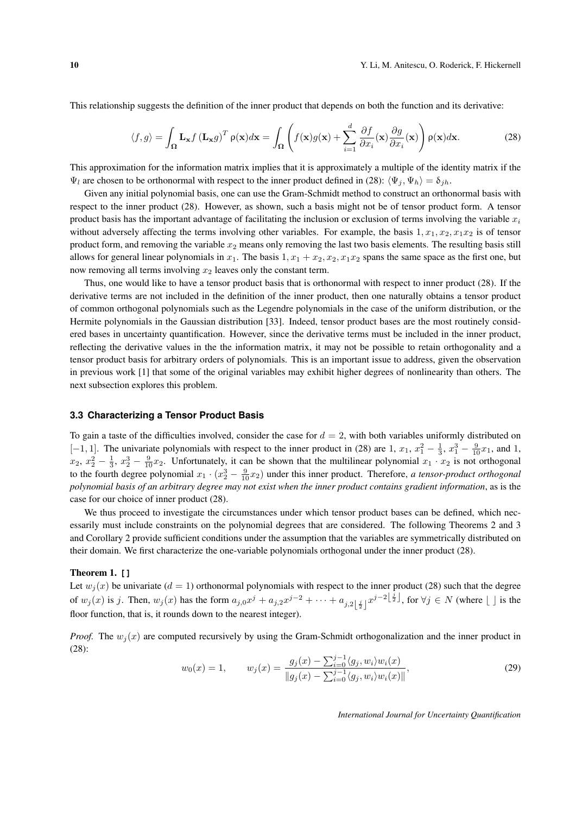This relationship suggests the definition of the inner product that depends on both the function and its derivative:

$$
\langle f, g \rangle = \int_{\Omega} \mathbf{L}_{\mathbf{x}} f\left(\mathbf{L}_{\mathbf{x}} g\right)^T \rho(\mathbf{x}) d\mathbf{x} = \int_{\Omega} \left( f(\mathbf{x}) g(\mathbf{x}) + \sum_{i=1}^d \frac{\partial f}{\partial x_i}(\mathbf{x}) \frac{\partial g}{\partial x_i}(\mathbf{x}) \right) \rho(\mathbf{x}) d\mathbf{x}.
$$
 (28)

This approximation for the information matrix implies that it is approximately a multiple of the identity matrix if the  $\Psi_l$  are chosen to be orthonormal with respect to the inner product defined in (28):  $\langle \Psi_j, \Psi_h \rangle = \delta_{jh}$ .

Given any initial polynomial basis, one can use the Gram-Schmidt method to construct an orthonormal basis with respect to the inner product (28). However, as shown, such a basis might not be of tensor product form. A tensor product basis has the important advantage of facilitating the inclusion or exclusion of terms involving the variable  $x_i$ without adversely affecting the terms involving other variables. For example, the basis  $1, x_1, x_2, x_1x_2$  is of tensor product form, and removing the variable *x*<sup>2</sup> means only removing the last two basis elements. The resulting basis still allows for general linear polynomials in  $x_1$ . The basis  $1, x_1 + x_2, x_2, x_1x_2$  spans the same space as the first one, but now removing all terms involving  $x_2$  leaves only the constant term.

Thus, one would like to have a tensor product basis that is orthonormal with respect to inner product (28). If the derivative terms are not included in the definition of the inner product, then one naturally obtains a tensor product of common orthogonal polynomials such as the Legendre polynomials in the case of the uniform distribution, or the Hermite polynomials in the Gaussian distribution [33]. Indeed, tensor product bases are the most routinely considered bases in uncertainty quantification. However, since the derivative terms must be included in the inner product, reflecting the derivative values in the the information matrix, it may not be possible to retain orthogonality and a tensor product basis for arbitrary orders of polynomials. This is an important issue to address, given the observation in previous work [1] that some of the original variables may exhibit higher degrees of nonlinearity than others. The next subsection explores this problem.

#### **3.3 Characterizing a Tensor Product Basis**

To gain a taste of the difficulties involved, consider the case for  $d = 2$ , with both variables uniformly distributed on [−1, 1]. The univariate polynomials with respect to the inner product in (28) are 1,  $x_1$ ,  $x_1^2 - \frac{1}{3}$ ,  $x_1^3 - \frac{9}{10}x_1$ , and 1,  $x_2, x_2^2 - \frac{1}{3}, x_2^3 - \frac{9}{10}x_2$ . Unfortunately, it can be shown that the multilinear polynomial  $x_1 \cdot x_2$  is not orthogonal to the fourth degree polynomial  $x_1 \cdot (x_2^3 - \frac{9}{10}x_2)$  under this inner product. Therefore, *a tensor-product orthogonal polynomial basis of an arbitrary degree may not exist when the inner product contains gradient information*, as is the case for our choice of inner product (28).

We thus proceed to investigate the circumstances under which tensor product bases can be defined, which necessarily must include constraints on the polynomial degrees that are considered. The following Theorems 2 and 3 and Corollary 2 provide sufficient conditions under the assumption that the variables are symmetrically distributed on their domain. We first characterize the one-variable polynomials orthogonal under the inner product (28).

## Theorem 1. **[]**

Let  $w_j(x)$  be univariate ( $d = 1$ ) orthonormal polynomials with respect to the inner product (28) such that the degree of  $w_j(x)$  is j. Then,  $w_j(x)$  has the form  $a_{j,0}x^j + a_{j,2}x^{j-2} + \cdots + a_{j,2\lfloor \frac{j}{2} \rfloor}x^{j-2\lfloor \frac{j}{2} \rfloor}$ , for  $\forall j \in N$  (where  $\lfloor \rfloor$  is the floor function, that is, it rounds down to the nearest integer).

*Proof.* The  $w_i(x)$  are computed recursively by using the Gram-Schmidt orthogonalization and the inner product in (28):

$$
w_0(x) = 1, \qquad w_j(x) = \frac{g_j(x) - \sum_{i=0}^{j-1} \langle g_j, w_i \rangle w_i(x)}{\|g_j(x) - \sum_{i=0}^{j-1} \langle g_j, w_i \rangle w_i(x)\|},\tag{29}
$$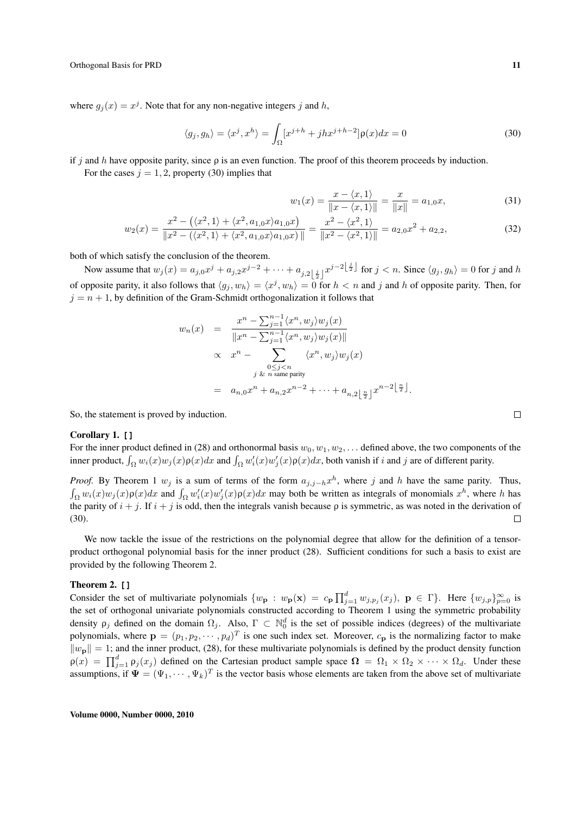where  $g_j(x) = x^j$ . Note that for any non-negative integers *j* and *h*,

$$
\langle g_j, g_h \rangle = \langle x^j, x^h \rangle = \int_{\Omega} [x^{j+h} + jhx^{j+h-2}] \rho(x) dx = 0 \tag{30}
$$

if *j* and *h* have opposite parity, since ρ is an even function. The proof of this theorem proceeds by induction.

For the cases  $j = 1, 2$ , property (30) implies that

$$
w_1(x) = \frac{x - \langle x, 1 \rangle}{\|x - \langle x, 1 \rangle\|} = \frac{x}{\|x\|} = a_{1,0}x,\tag{31}
$$

$$
w_2(x) = \frac{x^2 - (\langle x^2, 1 \rangle + \langle x^2, a_{1,0}x \rangle a_{1,0}x)}{\|x^2 - (\langle x^2, 1 \rangle + \langle x^2, a_{1,0}x \rangle a_{1,0}x)\|} = \frac{x^2 - \langle x^2, 1 \rangle}{\|x^2 - \langle x^2, 1 \rangle\|} = a_{2,0}x^2 + a_{2,2},
$$
\n(32)

both of which satisfy the conclusion of the theorem.

Now assume that  $w_j(x) = a_{j,0}x^j + a_{j,2}x^{j-2} + \cdots + a_{j,2\lfloor \frac{j}{2} \rfloor}x^{j-2\lfloor \frac{j}{2} \rfloor}$  for  $j < n$ . Since  $\langle g_j, g_h \rangle = 0$  for j and h of opposite parity, it also follows that  $\langle g_j, w_h \rangle = \langle x^j, w_h \rangle = 0$  for  $h < n$  and *j* and *h* of opposite parity. Then, for  $j = n + 1$ , by definition of the Gram-Schmidt orthogonalization it follows that

$$
w_n(x) = \frac{x^n - \sum_{j=1}^{n-1} \langle x^n, w_j \rangle w_j(x)}{\|x^n - \sum_{j=1}^{n-1} \langle x^n, w_j \rangle w_j(x)\|} \times \frac{x^n - \sum_{j=1}^{n-1} \langle x^n, w_j \rangle w_j(x)}{\sum_{j \& n \text{ same parity}} \langle x^n, w_j \rangle w_j(x)}
$$
  
=  $a_{n,0}x^n + a_{n,2}x^{n-2} + \dots + a_{n,2\lfloor \frac{n}{2} \rfloor}x^{n-2\lfloor \frac{n}{2} \rfloor}.$ 

So, the statement is proved by induction.

## Corollary 1. **[]**

For the inner product defined in (28) and orthonormal basis  $w_0, w_1, w_2, \ldots$  defined above, the two components of the inner product,  $\int_{\Omega} w_i(x)w_j(x)\rho(x)dx$  and  $\int_{\Omega} w'_i(x)w'_j(x)\rho(x)dx$ , both vanish if i and j are of different parity.

*Proof.* By Theorem 1  $w_j$  is a sum of terms of the form  $a_{j,j-h}x^h$ , where *j* and *h* have the same parity. Thus,  $\int_{\Omega} w_i(x)w_j(x)\rho(x)dx$  and  $\int_{\Omega} w'_i(x)w'_j(x)\rho(x)dx$  may both be written as integrals of monomials  $x^h$ , where h has the parity of  $i + j$ . If  $i + j$  is odd, then the integrals vanish because  $\rho$  is symmetric, as was noted in the derivation of (30).  $\Box$ 

We now tackle the issue of the restrictions on the polynomial degree that allow for the definition of a tensorproduct orthogonal polynomial basis for the inner product (28). Sufficient conditions for such a basis to exist are provided by the following Theorem 2.

#### Theorem 2. **[]**

Consider the set of multivariate polynomials  $\{w_{\mathbf{p}} : w_{\mathbf{p}}(\mathbf{x}) = c_{\mathbf{p}} \prod_{j=1}^{d} w_{j,p_j}(x_j), \mathbf{p} \in \Gamma\}$ . Here  $\{w_{j,p}\}_{p=0}^{\infty}$  is the set of orthogonal univariate polynomials constructed according to Theorem 1 using the symmetric probability density  $\rho_j$  defined on the domain  $\Omega_j$ . Also,  $\Gamma \subset \mathbb{N}_0^d$  is the set of possible indices (degrees) of the multivariate polynomials, where  $\mathbf{p} = (p_1, p_2, \cdots, p_d)^T$  is one such index set. Moreover,  $c_{\mathbf{p}}$  is the normalizing factor to make *∥w***p***∥* = 1; and the inner product, (28), for these multivariate polynomials is defined by the product density function  $\rho(x) = \prod_{j=1}^{d} \rho_j(x_j)$  defined on the Cartesian product sample space  $\Omega = \Omega_1 \times \Omega_2 \times \cdots \times \Omega_d$ . Under these assumptions, if  $\Psi = (\Psi_1, \dots, \Psi_k)^T$  is the vector basis whose elements are taken from the above set of multivariate

 $\Box$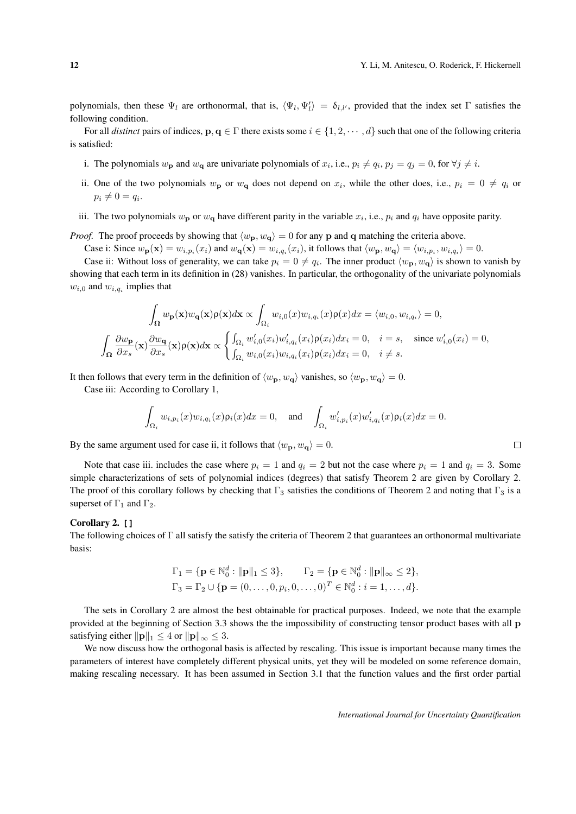polynomials, then these  $\Psi_l$  are orthonormal, that is,  $\langle \Psi_l, \Psi'_l \rangle = \delta_{l,l'}$ , provided that the index set  $\Gamma$  satisfies the following condition.

For all *distinct* pairs of indices,  $\mathbf{p}, \mathbf{q} \in \Gamma$  there exists some  $i \in \{1, 2, \dots, d\}$  such that one of the following criteria is satisfied:

- i. The polynomials  $w_{p}$  and  $w_{q}$  are univariate polynomials of  $x_i$ , i.e.,  $p_i \neq q_i$ ,  $p_j = q_j = 0$ , for  $\forall j \neq i$ .
- ii. One of the two polynomials  $w_{\mathbf{p}}$  or  $w_{\mathbf{q}}$  does not depend on  $x_i$ , while the other does, i.e.,  $p_i = 0 \neq q_i$  or  $p_i \neq 0 = q_i.$
- iii. The two polynomials  $w_p$  or  $w_q$  have different parity in the variable  $x_i$ , i.e.,  $p_i$  and  $q_i$  have opposite parity.

*Proof.* The proof proceeds by showing that  $\langle w_{\bf p}, w_{\bf q} \rangle = 0$  for any **p** and **q** matching the criteria above.

Case i: Since  $w_{\mathbf{p}}(\mathbf{x}) = w_{i,p_i}(x_i)$  and  $w_{\mathbf{q}}(\mathbf{x}) = w_{i,q_i}(x_i)$ , it follows that  $\langle w_{\mathbf{p}}, w_{\mathbf{q}} \rangle = \langle w_{i,p_i}, w_{i,q_i} \rangle = 0$ .

Case ii: Without loss of generality, we can take  $p_i = 0 \neq q_i$ . The inner product  $\langle w_{\bf p}, w_{\bf q} \rangle$  is shown to vanish by showing that each term in its definition in (28) vanishes. In particular, the orthogonality of the univariate polynomials  $w_{i,0}$  and  $w_{i,q_i}$  implies that

$$
\int_{\Omega} w_{\mathbf{p}}(\mathbf{x}) w_{\mathbf{q}}(\mathbf{x}) \rho(\mathbf{x}) d\mathbf{x} \propto \int_{\Omega_i} w_{i,0}(x) w_{i,q_i}(x) \rho(x) dx = \langle w_{i,0}, w_{i,q_i} \rangle = 0,
$$
\n
$$
\int_{\Omega} \frac{\partial w_{\mathbf{p}}}{\partial x_s}(\mathbf{x}) \frac{\partial w_{\mathbf{q}}}{\partial x_s}(\mathbf{x}) \rho(\mathbf{x}) d\mathbf{x} \propto \begin{cases} \int_{\Omega_i} w'_{i,0}(x_i) w'_{i,q_i}(x_i) \rho(x_i) dx_i = 0, & i = s, \text{ since } w'_{i,0}(x_i) = 0, \\ \int_{\Omega_i} w_{i,0}(x_i) w_{i,q_i}(x_i) \rho(x_i) dx_i = 0, & i \neq s. \end{cases}
$$

It then follows that every term in the definition of  $\langle w_{\bf{p}}, w_{\bf{q}} \rangle$  vanishes, so  $\langle w_{\bf{p}}, w_{\bf{q}} \rangle = 0$ .

Case iii: According to Corollary 1,

$$
\int_{\Omega_i} w_{i,p_i}(x)w_{i,q_i}(x)\rho_i(x)dx = 0, \text{ and } \int_{\Omega_i} w'_{i,p_i}(x)w'_{i,q_i}(x)\rho_i(x)dx = 0.
$$

By the same argument used for case ii, it follows that  $\langle w_{\bf{p}}, w_{\bf{q}} \rangle = 0$ .

Note that case iii. includes the case where  $p_i = 1$  and  $q_i = 2$  but not the case where  $p_i = 1$  and  $q_i = 3$ . Some simple characterizations of sets of polynomial indices (degrees) that satisfy Theorem 2 are given by Corollary 2. The proof of this corollary follows by checking that  $\Gamma_3$  satisfies the conditions of Theorem 2 and noting that  $\Gamma_3$  is a superset of  $\Gamma_1$  and  $\Gamma_2$ .

#### Corollary 2. **[]**

The following choices of  $\Gamma$  all satisfy the satisfy the criteria of Theorem 2 that guarantees an orthonormal multivariate basis:

$$
\Gamma_1 = \{ \mathbf{p} \in \mathbb{N}_0^d : ||\mathbf{p}||_1 \le 3 \}, \qquad \Gamma_2 = \{ \mathbf{p} \in \mathbb{N}_0^d : ||\mathbf{p}||_\infty \le 2 \}, \n\Gamma_3 = \Gamma_2 \cup \{ \mathbf{p} = (0, \dots, 0, p_i, 0, \dots, 0)^T \in \mathbb{N}_0^d : i = 1, \dots, d \}.
$$

The sets in Corollary 2 are almost the best obtainable for practical purposes. Indeed, we note that the example provided at the beginning of Section 3.3 shows the the impossibility of constructing tensor product bases with all **p** satisfying either  $||\mathbf{p}||_1 \leq 4$  or  $||\mathbf{p}||_{\infty} \leq 3$ .

We now discuss how the orthogonal basis is affected by rescaling. This issue is important because many times the parameters of interest have completely different physical units, yet they will be modeled on some reference domain, making rescaling necessary. It has been assumed in Section 3.1 that the function values and the first order partial

*International Journal for Uncertainty Quantification*

 $\Box$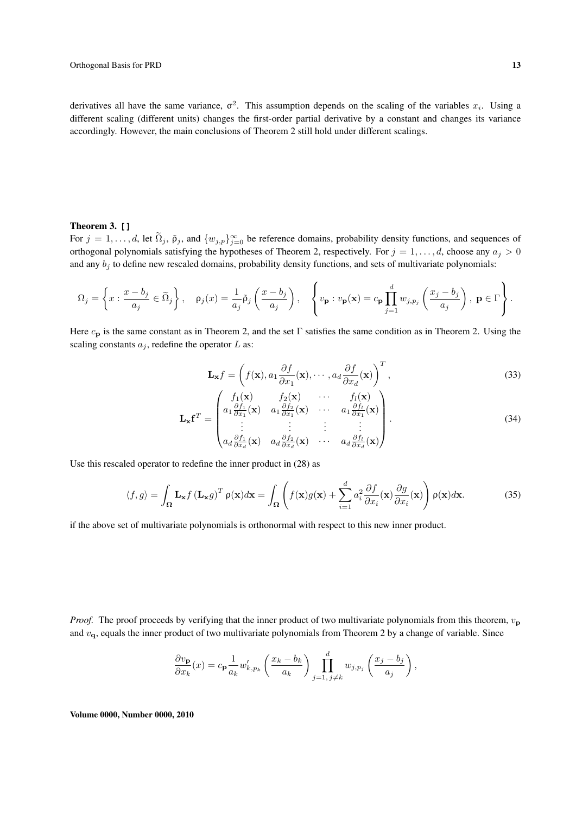derivatives all have the same variance,  $\sigma^2$ . This assumption depends on the scaling of the variables  $x_i$ . Using a different scaling (different units) changes the first-order partial derivative by a constant and changes its variance accordingly. However, the main conclusions of Theorem 2 still hold under different scalings.

### Theorem 3. **[]**

For  $j = 1, \ldots, d$ , let  $\Omega_j$ ,  $\tilde{\rho}_j$ , and  $\{w_{j,p}\}_{j=0}^{\infty}$  be reference domains, probability density functions, and sequences of orthogonal polynomials satisfying the hypotheses of Theorem 2, respectively. For  $j = 1, \ldots, d$ , choose any  $a_j > 0$ and any  $b_i$  to define new rescaled domains, probability density functions, and sets of multivariate polynomials:

$$
\Omega_j = \left\{ x : \frac{x - b_j}{a_j} \in \widetilde{\Omega}_j \right\}, \quad \rho_j(x) = \frac{1}{a_j} \widetilde{\rho}_j \left( \frac{x - b_j}{a_j} \right), \quad \left\{ v_{\mathbf{p}} : v_{\mathbf{p}}(\mathbf{x}) = c_{\mathbf{p}} \prod_{j=1}^d w_{j, p_j} \left( \frac{x_j - b_j}{a_j} \right), \ \mathbf{p} \in \Gamma \right\}.
$$

Here *c***<sup>p</sup>** is the same constant as in Theorem 2, and the set Γ satisfies the same condition as in Theorem 2. Using the scaling constants  $a_j$ , redefine the operator  $L$  as:

$$
\mathbf{L}_{\mathbf{x}}f = \left(f(\mathbf{x}), a_1 \frac{\partial f}{\partial x_1}(\mathbf{x}), \cdots, a_d \frac{\partial f}{\partial x_d}(\mathbf{x})\right)^T,
$$
\n(33)

$$
\mathbf{L}_{\mathbf{x}}\mathbf{f}^{T} = \begin{pmatrix} f_{1}(\mathbf{x}) & f_{2}(\mathbf{x}) & \cdots & f_{l}(\mathbf{x}) \\ a_{1}\frac{\partial f_{1}}{\partial x_{1}}(\mathbf{x}) & a_{1}\frac{\partial f_{2}}{\partial x_{1}}(\mathbf{x}) & \cdots & a_{1}\frac{\partial f_{l}}{\partial x_{1}}(\mathbf{x}) \\ \vdots & \vdots & \vdots & \vdots \\ a_{d}\frac{\partial f_{1}}{\partial x_{d}}(\mathbf{x}) & a_{d}\frac{\partial f_{2}}{\partial x_{d}}(\mathbf{x}) & \cdots & a_{d}\frac{\partial f_{l}}{\partial x_{d}}(\mathbf{x}) \end{pmatrix}.
$$
 (34)

Use this rescaled operator to redefine the inner product in (28) as

$$
\langle f, g \rangle = \int_{\Omega} \mathbf{L}_{\mathbf{x}} f\left(\mathbf{L}_{\mathbf{x}} g\right)^T \rho(\mathbf{x}) d\mathbf{x} = \int_{\Omega} \left( f(\mathbf{x}) g(\mathbf{x}) + \sum_{i=1}^d a_i^2 \frac{\partial f}{\partial x_i}(\mathbf{x}) \frac{\partial g}{\partial x_i}(\mathbf{x}) \right) \rho(\mathbf{x}) d\mathbf{x}.
$$
 (35)

if the above set of multivariate polynomials is orthonormal with respect to this new inner product.

*Proof.* The proof proceeds by verifying that the inner product of two multivariate polynomials from this theorem,  $v_p$ and *v***q**, equals the inner product of two multivariate polynomials from Theorem 2 by a change of variable. Since

$$
\frac{\partial v_{\mathbf{p}}}{\partial x_k}(x) = c_{\mathbf{p}} \frac{1}{a_k} w'_{k, p_k} \left(\frac{x_k - b_k}{a_k}\right) \prod_{j=1, j \neq k}^d w_{j, p_j} \left(\frac{x_j - b_j}{a_j}\right),
$$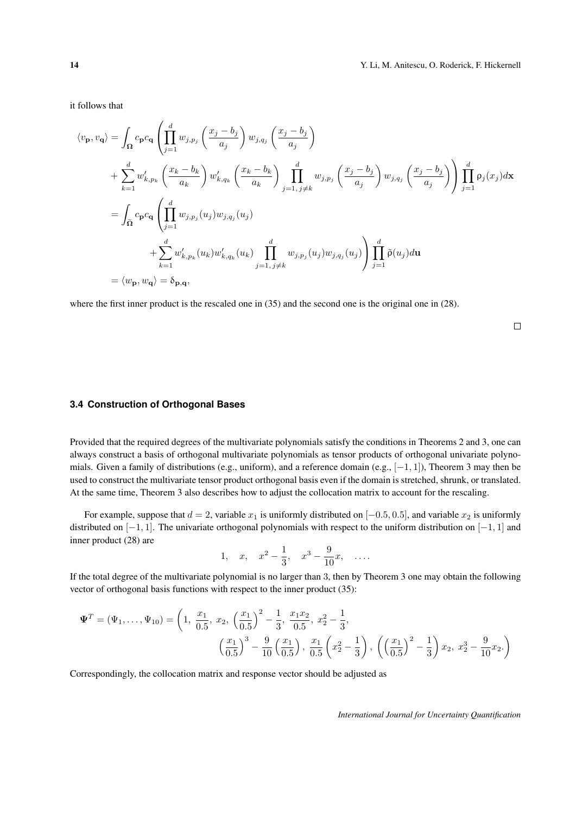it follows that

$$
\langle v_{\mathbf{p}}, v_{\mathbf{q}} \rangle = \int_{\Omega} c_{\mathbf{p}} c_{\mathbf{q}} \left( \prod_{j=1}^{d} w_{j,p_{j}} \left( \frac{x_{j} - b_{j}}{a_{j}} \right) w_{j,q_{j}} \left( \frac{x_{j} - b_{j}}{a_{j}} \right) \right) \n+ \sum_{k=1}^{d} w'_{k,p_{k}} \left( \frac{x_{k} - b_{k}}{a_{k}} \right) w'_{k,q_{k}} \left( \frac{x_{k} - b_{k}}{a_{k}} \right) \prod_{j=1, j \neq k}^{d} w_{j,p_{j}} \left( \frac{x_{j} - b_{j}}{a_{j}} \right) w_{j,q_{j}} \left( \frac{x_{j} - b_{j}}{a_{j}} \right) \prod_{j=1}^{d} \rho_{j}(x_{j}) d\mathbf{x} \n= \int_{\tilde{\Omega}} c_{\mathbf{p}} c_{\mathbf{q}} \left( \prod_{j=1}^{d} w_{j,p_{j}} (u_{j}) w_{j,q_{j}} (u_{j}) \right. \n+ \sum_{k=1}^{d} w'_{k,p_{k}} (u_{k}) w'_{k,q_{k}} (u_{k}) \prod_{j=1, j \neq k}^{d} w_{j,p_{j}} (u_{j}) w_{j,q_{j}} (u_{j}) \right) \prod_{j=1}^{d} \tilde{\rho}(u_{j}) d\mathbf{u} \n= \langle w_{\mathbf{p}}, w_{\mathbf{q}} \rangle = \delta_{\mathbf{p}, \mathbf{q}},
$$

where the first inner product is the rescaled one in (35) and the second one is the original one in (28).

 $\Box$ 

## **3.4 Construction of Orthogonal Bases**

Provided that the required degrees of the multivariate polynomials satisfy the conditions in Theorems 2 and 3, one can always construct a basis of orthogonal multivariate polynomials as tensor products of orthogonal univariate polynomials. Given a family of distributions (e.g., uniform), and a reference domain (e.g., [*−*1*,* 1]), Theorem 3 may then be used to construct the multivariate tensor product orthogonal basis even if the domain is stretched, shrunk, or translated. At the same time, Theorem 3 also describes how to adjust the collocation matrix to account for the rescaling.

For example, suppose that  $d = 2$ , variable  $x_1$  is uniformly distributed on  $[-0.5, 0.5]$ , and variable  $x_2$  is uniformly distributed on [*−*1*,* 1]. The univariate orthogonal polynomials with respect to the uniform distribution on [*−*1*,* 1] and inner product (28) are

1, 
$$
x
$$
,  $x^2 - \frac{1}{3}$ ,  $x^3 - \frac{9}{10}x$ , ...

If the total degree of the multivariate polynomial is no larger than 3, then by Theorem 3 one may obtain the following vector of orthogonal basis functions with respect to the inner product (35):

$$
\Psi^{T} = (\Psi_{1}, ..., \Psi_{10}) = \left(1, \frac{x_{1}}{0.5}, x_{2}, \left(\frac{x_{1}}{0.5}\right)^{2} - \frac{1}{3}, \frac{x_{1}x_{2}}{0.5}, x_{2}^{2} - \frac{1}{3}, \frac{x_{2}}{0.5}, x_{2}^{2} - \frac{1}{3}\right), \left(\left(\frac{x_{1}}{0.5}\right)^{2} - \frac{1}{3}\right)x_{2}, x_{2}^{3} - \frac{9}{10}x_{2}.\right)
$$

Correspondingly, the collocation matrix and response vector should be adjusted as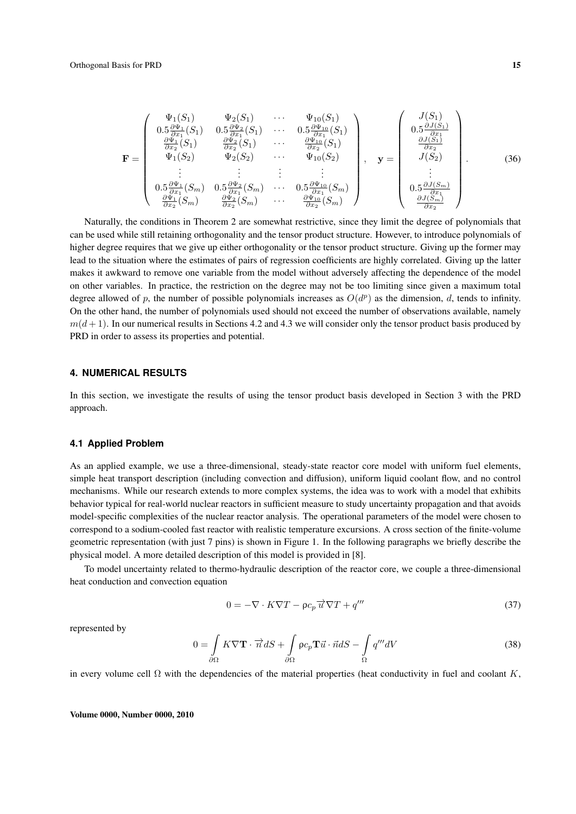$$
\mathbf{F} = \begin{pmatrix} \Psi_{1}(S_{1}) & \Psi_{2}(S_{1}) & \cdots & \Psi_{10}(S_{1}) \\ 0.5\frac{\partial\Psi_{1}}{\partial x_{1}}(S_{1}) & 0.5\frac{\partial\Psi_{2}}{\partial x_{1}}(S_{1}) & \cdots & 0.5\frac{\partial\Psi_{10}}{\partial x_{1}}(S_{1}) \\ \frac{\partial\Psi_{1}}{\partial x_{2}}(S_{1}) & \frac{\partial\Psi_{2}}{\partial x_{2}}(S_{1}) & \cdots & \frac{\partial\Psi_{10}}{\partial x_{1}}(S_{1}) \\ \Psi_{1}(S_{2}) & \Psi_{2}(S_{2}) & \cdots & \Psi_{10}(S_{2}) \\ \vdots & \vdots & \vdots & \vdots \\ 0.5\frac{\partial\Psi_{1}}{\partial x_{1}}(S_{m}) & 0.5\frac{\partial\Psi_{2}}{\partial x_{1}}(S_{m}) & \cdots & 0.5\frac{\partial\Psi_{10}}{\partial x_{1}}(S_{m}) \\ \frac{\partial\Psi_{1}}{\partial x_{1}}(S_{m}) & \frac{\partial\Psi_{2}}{\partial x_{2}}(S_{m}) & \cdots & 0.5\frac{\partial\Psi_{10}}{\partial x_{1}}(S_{m}) \\ \frac{\partial\Psi_{1}}{\partial x_{2}}(S_{m}) & \frac{\partial\Psi_{2}}{\partial x_{2}}(S_{m}) & \cdots & \frac{\partial\Psi_{10}}{\partial x_{2}}(S_{m}) \end{pmatrix}, \quad \mathbf{y} = \begin{pmatrix} J(S_{1}) \\ 0.5\frac{\partial J(S_{1})}{\partial x_{1}} \\ \frac{\partial J(S_{2})}{\partial x_{2}} \\ \vdots \\ 0.5\frac{\partial J(S_{m})}{\partial x_{1}} \\ \frac{\partial J(S_{m})}{\partial x_{2}} \end{pmatrix}.
$$
 (36)

Naturally, the conditions in Theorem 2 are somewhat restrictive, since they limit the degree of polynomials that can be used while still retaining orthogonality and the tensor product structure. However, to introduce polynomials of higher degree requires that we give up either orthogonality or the tensor product structure. Giving up the former may lead to the situation where the estimates of pairs of regression coefficients are highly correlated. Giving up the latter makes it awkward to remove one variable from the model without adversely affecting the dependence of the model on other variables. In practice, the restriction on the degree may not be too limiting since given a maximum total degree allowed of p, the number of possible polynomials increases as  $O(d^p)$  as the dimension, d, tends to infinity. On the other hand, the number of polynomials used should not exceed the number of observations available, namely  $m(d+1)$ . In our numerical results in Sections 4.2 and 4.3 we will consider only the tensor product basis produced by PRD in order to assess its properties and potential.

## **4. NUMERICAL RESULTS**

In this section, we investigate the results of using the tensor product basis developed in Section 3 with the PRD approach.

## **4.1 Applied Problem**

As an applied example, we use a three-dimensional, steady-state reactor core model with uniform fuel elements, simple heat transport description (including convection and diffusion), uniform liquid coolant flow, and no control mechanisms. While our research extends to more complex systems, the idea was to work with a model that exhibits behavior typical for real-world nuclear reactors in sufficient measure to study uncertainty propagation and that avoids model-specific complexities of the nuclear reactor analysis. The operational parameters of the model were chosen to correspond to a sodium-cooled fast reactor with realistic temperature excursions. A cross section of the finite-volume geometric representation (with just 7 pins) is shown in Figure 1. In the following paragraphs we briefly describe the physical model. A more detailed description of this model is provided in [8].

To model uncertainty related to thermo-hydraulic description of the reactor core, we couple a three-dimensional heat conduction and convection equation

$$
0 = -\nabla \cdot K \nabla T - \rho c_p \overrightarrow{u} \nabla T + q''' \tag{37}
$$

represented by

$$
0 = \int_{\partial\Omega} K \nabla \mathbf{T} \cdot \overrightarrow{n} dS + \int_{\partial\Omega} \rho c_p \mathbf{T} \overrightarrow{u} \cdot \overrightarrow{n} dS - \int_{\Omega} q''' dV
$$
 (38)

in every volume cell  $\Omega$  with the dependencies of the material properties (heat conductivity in fuel and coolant *K*,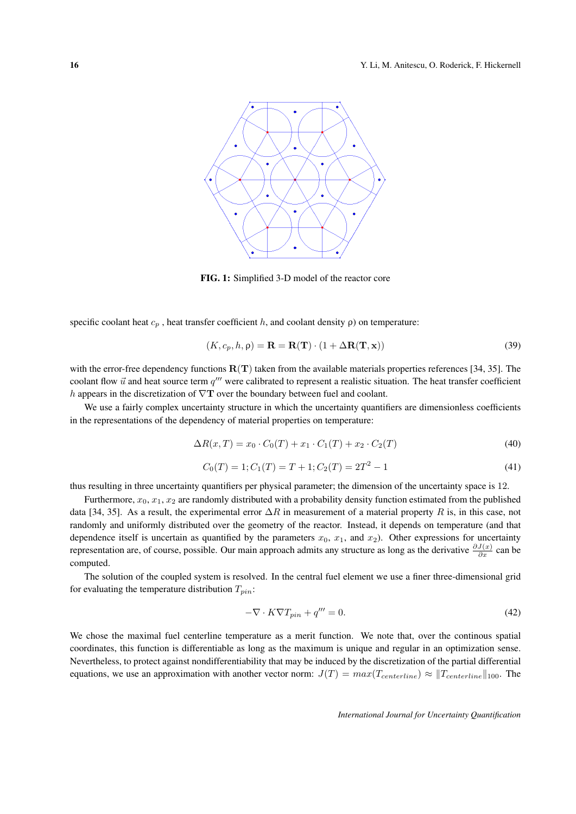

FIG. 1: Simplified 3-D model of the reactor core

specific coolant heat  $c_p$ , heat transfer coefficient  $h$ , and coolant density  $\rho$ ) on temperature:

$$
(K, c_p, h, \rho) = \mathbf{R} = \mathbf{R}(\mathbf{T}) \cdot (1 + \Delta \mathbf{R}(\mathbf{T}, \mathbf{x}))
$$
\n(39)

with the error-free dependency functions **R**(**T**) taken from the available materials properties references [34, 35]. The coolant flow  $\vec{u}$  and heat source term  $q''$  were calibrated to represent a realistic situation. The heat transfer coefficient *h* appears in the discretization of  $\nabla$ **T** over the boundary between fuel and coolant.

We use a fairly complex uncertainty structure in which the uncertainty quantifiers are dimensionless coefficients in the representations of the dependency of material properties on temperature:

$$
\Delta R(x,T) = x_0 \cdot C_0(T) + x_1 \cdot C_1(T) + x_2 \cdot C_2(T) \tag{40}
$$

$$
C_0(T) = 1; C_1(T) = T + 1; C_2(T) = 2T^2 - 1
$$
\n(41)

thus resulting in three uncertainty quantifiers per physical parameter; the dimension of the uncertainty space is 12.

Furthermore,  $x_0, x_1, x_2$  are randomly distributed with a probability density function estimated from the published data [34, 35]. As a result, the experimental error ∆*R* in measurement of a material property *R* is, in this case, not randomly and uniformly distributed over the geometry of the reactor. Instead, it depends on temperature (and that dependence itself is uncertain as quantified by the parameters  $x_0$ ,  $x_1$ , and  $x_2$ ). Other expressions for uncertainty representation are, of course, possible. Our main approach admits any structure as long as the derivative  $\frac{\partial J(x)}{\partial x}$  can be computed.

The solution of the coupled system is resolved. In the central fuel element we use a finer three-dimensional grid for evaluating the temperature distribution  $T_{pin}$ :

$$
-\nabla \cdot K \nabla T_{pin} + q''' = 0. \tag{42}
$$

We chose the maximal fuel centerline temperature as a merit function. We note that, over the continous spatial coordinates, this function is differentiable as long as the maximum is unique and regular in an optimization sense. Nevertheless, to protect against nondifferentiability that may be induced by the discretization of the partial differential equations, we use an approximation with another vector norm:  $J(T) = max(T_{centerline} \ge ||T_{centerline}||_{100}$ . The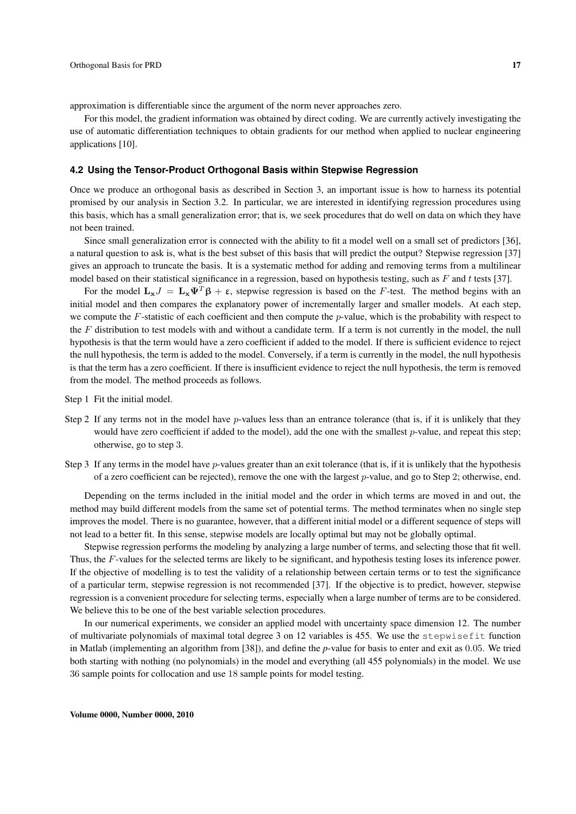approximation is differentiable since the argument of the norm never approaches zero.

For this model, the gradient information was obtained by direct coding. We are currently actively investigating the use of automatic differentiation techniques to obtain gradients for our method when applied to nuclear engineering applications [10].

#### **4.2 Using the Tensor-Product Orthogonal Basis within Stepwise Regression**

Once we produce an orthogonal basis as described in Section 3, an important issue is how to harness its potential promised by our analysis in Section 3.2. In particular, we are interested in identifying regression procedures using this basis, which has a small generalization error; that is, we seek procedures that do well on data on which they have not been trained.

Since small generalization error is connected with the ability to fit a model well on a small set of predictors [36], a natural question to ask is, what is the best subset of this basis that will predict the output? Stepwise regression [37] gives an approach to truncate the basis. It is a systematic method for adding and removing terms from a multilinear model based on their statistical significance in a regression, based on hypothesis testing, such as *F* and *t* tests [37].

For the model  $\mathbf{L_x}J = \mathbf{L_x} \Psi^T \mathbf{\beta} + \varepsilon$ , stepwise regression is based on the *F*-test. The method begins with an initial model and then compares the explanatory power of incrementally larger and smaller models. At each step, we compute the *F*-statistic of each coefficient and then compute the *p*-value, which is the probability with respect to the *F* distribution to test models with and without a candidate term. If a term is not currently in the model, the null hypothesis is that the term would have a zero coefficient if added to the model. If there is sufficient evidence to reject the null hypothesis, the term is added to the model. Conversely, if a term is currently in the model, the null hypothesis is that the term has a zero coefficient. If there is insufficient evidence to reject the null hypothesis, the term is removed from the model. The method proceeds as follows.

Step 1 Fit the initial model.

- Step 2 If any terms not in the model have *p*-values less than an entrance tolerance (that is, if it is unlikely that they would have zero coefficient if added to the model), add the one with the smallest *p*-value, and repeat this step; otherwise, go to step 3.
- Step 3 If any terms in the model have *p*-values greater than an exit tolerance (that is, if it is unlikely that the hypothesis of a zero coefficient can be rejected), remove the one with the largest *p*-value, and go to Step 2; otherwise, end.

Depending on the terms included in the initial model and the order in which terms are moved in and out, the method may build different models from the same set of potential terms. The method terminates when no single step improves the model. There is no guarantee, however, that a different initial model or a different sequence of steps will not lead to a better fit. In this sense, stepwise models are locally optimal but may not be globally optimal.

Stepwise regression performs the modeling by analyzing a large number of terms, and selecting those that fit well. Thus, the *F*-values for the selected terms are likely to be significant, and hypothesis testing loses its inference power. If the objective of modelling is to test the validity of a relationship between certain terms or to test the significance of a particular term, stepwise regression is not recommended [37]. If the objective is to predict, however, stepwise regression is a convenient procedure for selecting terms, especially when a large number of terms are to be considered. We believe this to be one of the best variable selection procedures.

In our numerical experiments, we consider an applied model with uncertainty space dimension 12. The number of multivariate polynomials of maximal total degree 3 on 12 variables is 455. We use the stepwisefit function in Matlab (implementing an algorithm from [38]), and define the *p*-value for basis to enter and exit as 0*.*05. We tried both starting with nothing (no polynomials) in the model and everything (all 455 polynomials) in the model. We use 36 sample points for collocation and use 18 sample points for model testing.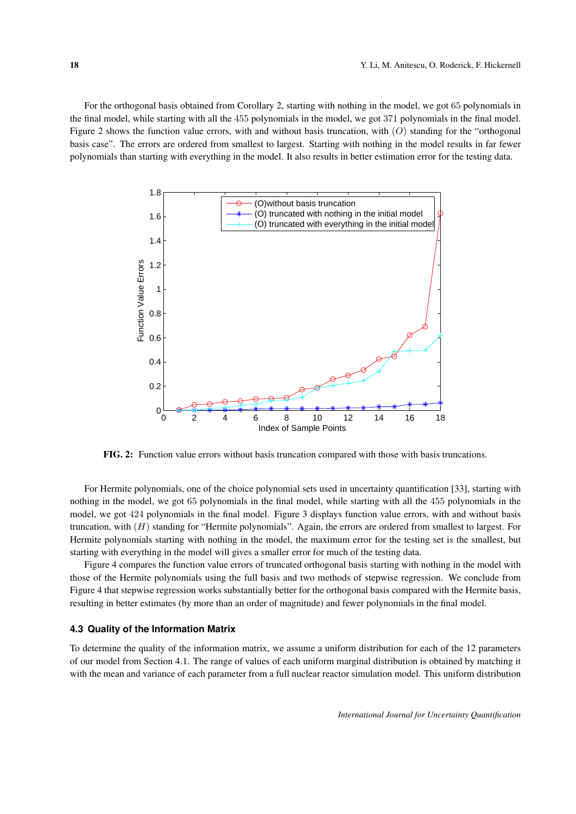For the orthogonal basis obtained from Corollary 2, starting with nothing in the model, we got 65 polynomials in the final model, while starting with all the 455 polynomials in the model, we got 371 polynomials in the final model. Figure 2 shows the function value errors, with and without basis truncation, with (*O*) standing for the "orthogonal basis case". The errors are ordered from smallest to largest. Starting with nothing in the model results in far fewer polynomials than starting with everything in the model. It also results in better estimation error for the testing data.



FIG. 2: Function value errors without basis truncation compared with those with basis truncations.

For Hermite polynomials, one of the choice polynomial sets used in uncertainty quantification [33], starting with nothing in the model, we got 65 polynomials in the final model, while starting with all the 455 polynomials in the model, we got 424 polynomials in the final model. Figure 3 displays function value errors, with and without basis truncation, with (*H*) standing for "Hermite polynomials". Again, the errors are ordered from smallest to largest. For Hermite polynomials starting with nothing in the model, the maximum error for the testing set is the smallest, but starting with everything in the model will gives a smaller error for much of the testing data.

Figure 4 compares the function value errors of truncated orthogonal basis starting with nothing in the model with those of the Hermite polynomials using the full basis and two methods of stepwise regression. We conclude from Figure 4 that stepwise regression works substantially better for the orthogonal basis compared with the Hermite basis, resulting in better estimates (by more than an order of magnitude) and fewer polynomials in the final model.

## **4.3 Quality of the Information Matrix**

To determine the quality of the information matrix, we assume a uniform distribution for each of the 12 parameters of our model from Section 4.1. The range of values of each uniform marginal distribution is obtained by matching it with the mean and variance of each parameter from a full nuclear reactor simulation model. This uniform distribution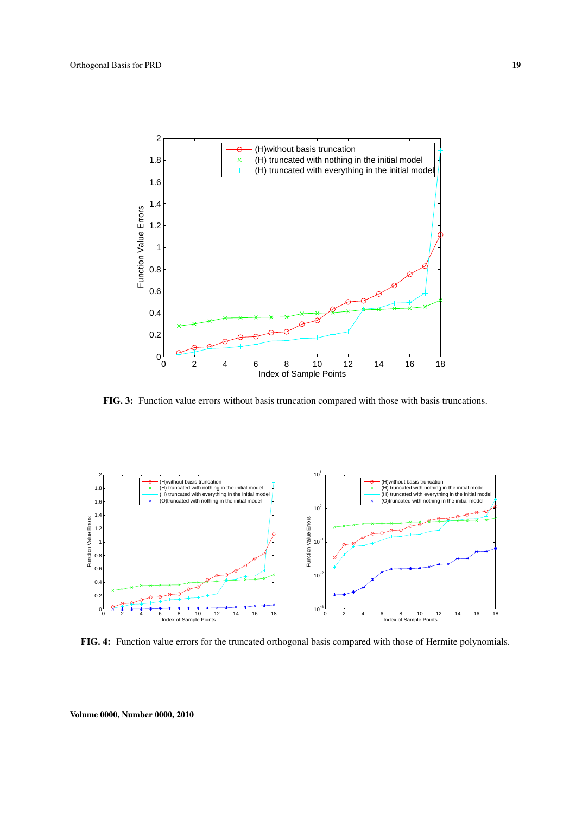

FIG. 3: Function value errors without basis truncation compared with those with basis truncations.



FIG. 4: Function value errors for the truncated orthogonal basis compared with those of Hermite polynomials.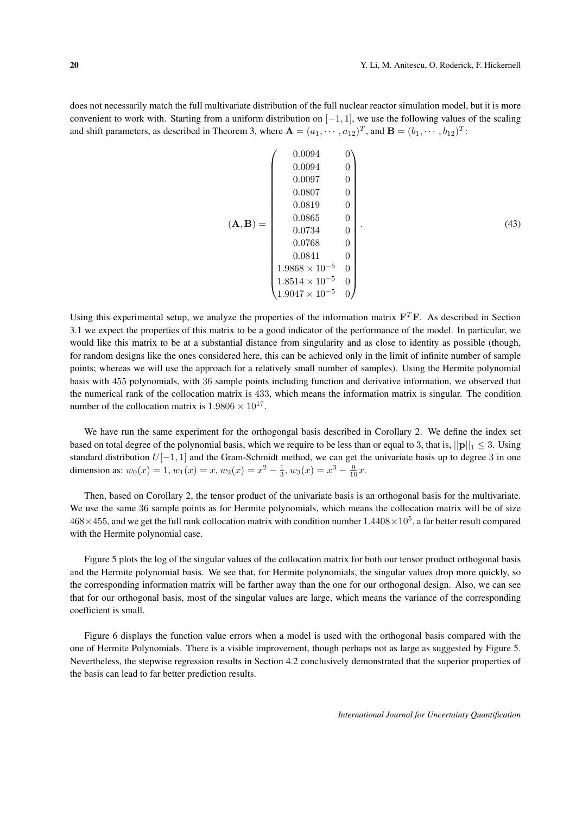does not necessarily match the full multivariate distribution of the full nuclear reactor simulation model, but it is more convenient to work with. Starting from a uniform distribution on [*−*1*,* 1], we use the following values of the scaling and shift parameters, as described in Theorem 3, where  $\mathbf{A} = (a_1, \dots, a_{12})^T$ , and  $\mathbf{B} = (b_1, \dots, b_{12})^T$ :

$$
(\mathbf{A}, \mathbf{B}) = \begin{pmatrix} 0.0094 & 0 \\ 0.0094 & 0 \\ 0.0097 & 0 \\ 0.0807 & 0 \\ 0.0819 & 0 \\ 0.0734 & 0 \\ 0.0734 & 0 \\ 0.0768 & 0 \\ 0.0841 & 0 \\ 1.9868 \times 10^{-5} & 0 \\ 1.8514 \times 10^{-5} & 0 \\ 1.9047 \times 10^{-5} & 0 \end{pmatrix}.
$$
 (43)

Using this experimental setup, we analyze the properties of the information matrix  $\mathbf{F}^T\mathbf{F}$ . As described in Section 3.1 we expect the properties of this matrix to be a good indicator of the performance of the model. In particular, we would like this matrix to be at a substantial distance from singularity and as close to identity as possible (though, for random designs like the ones considered here, this can be achieved only in the limit of infinite number of sample points; whereas we will use the approach for a relatively small number of samples). Using the Hermite polynomial basis with 455 polynomials, with 36 sample points including function and derivative information, we observed that the numerical rank of the collocation matrix is 433, which means the information matrix is singular. The condition number of the collocation matrix is  $1.9806 \times 10^{17}$ .

We have run the same experiment for the orthogongal basis described in Corollary 2. We define the index set based on total degree of the polynomial basis, which we require to be less than or equal to 3, that is,  $||\mathbf{p}||_1 < 3$ . Using standard distribution *U*[*−*1*,* 1] and the Gram-Schmidt method, we can get the univariate basis up to degree 3 in one dimension as:  $w_0(x) = 1$ ,  $w_1(x) = x$ ,  $w_2(x) = x^2 - \frac{1}{3}$ ,  $w_3(x) = x^3 - \frac{9}{10}x$ .

Then, based on Corollary 2, the tensor product of the univariate basis is an orthogonal basis for the multivariate. We use the same 36 sample points as for Hermite polynomials, which means the collocation matrix will be of size 468*×*455, and we get the full rank collocation matrix with condition number 1*.*4408*×*10<sup>5</sup> , a far better result compared with the Hermite polynomial case.

Figure 5 plots the log of the singular values of the collocation matrix for both our tensor product orthogonal basis and the Hermite polynomial basis. We see that, for Hermite polynomials, the singular values drop more quickly, so the corresponding information matrix will be farther away than the one for our orthogonal design. Also, we can see that for our orthogonal basis, most of the singular values are large, which means the variance of the corresponding coefficient is small.

Figure 6 displays the function value errors when a model is used with the orthogonal basis compared with the one of Hermite Polynomials. There is a visible improvement, though perhaps not as large as suggested by Figure 5. Nevertheless, the stepwise regression results in Section 4.2 conclusively demonstrated that the superior properties of the basis can lead to far better prediction results.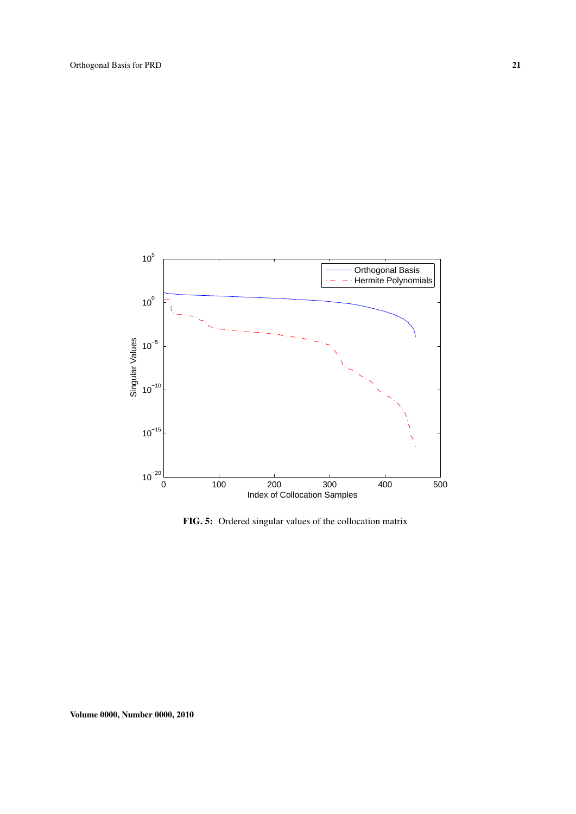

FIG. 5: Ordered singular values of the collocation matrix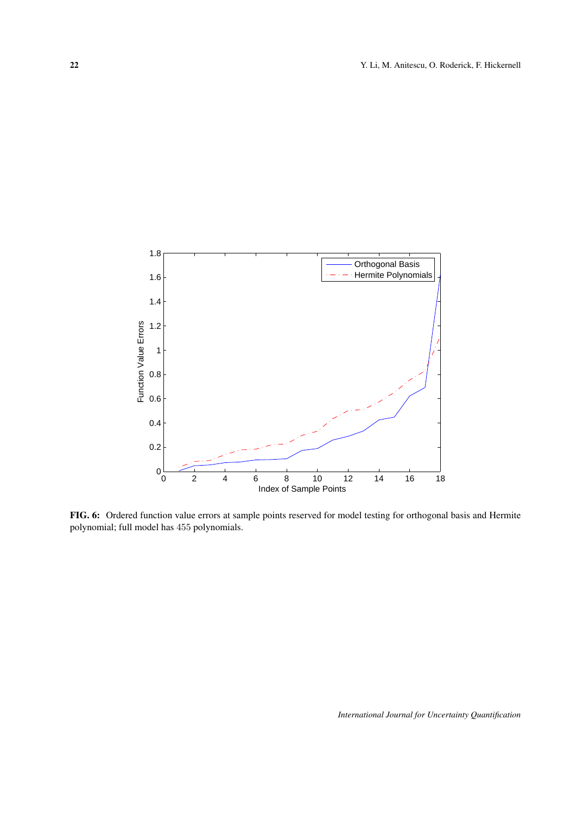

FIG. 6: Ordered function value errors at sample points reserved for model testing for orthogonal basis and Hermite polynomial; full model has 455 polynomials.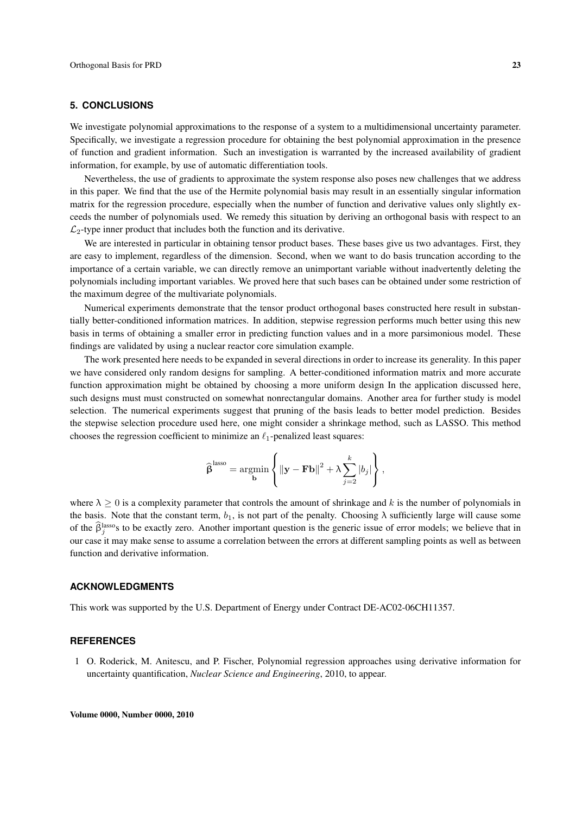## **5. CONCLUSIONS**

We investigate polynomial approximations to the response of a system to a multidimensional uncertainty parameter. Specifically, we investigate a regression procedure for obtaining the best polynomial approximation in the presence of function and gradient information. Such an investigation is warranted by the increased availability of gradient information, for example, by use of automatic differentiation tools.

Nevertheless, the use of gradients to approximate the system response also poses new challenges that we address in this paper. We find that the use of the Hermite polynomial basis may result in an essentially singular information matrix for the regression procedure, especially when the number of function and derivative values only slightly exceeds the number of polynomials used. We remedy this situation by deriving an orthogonal basis with respect to an  $\mathcal{L}_2$ -type inner product that includes both the function and its derivative.

We are interested in particular in obtaining tensor product bases. These bases give us two advantages. First, they are easy to implement, regardless of the dimension. Second, when we want to do basis truncation according to the importance of a certain variable, we can directly remove an unimportant variable without inadvertently deleting the polynomials including important variables. We proved here that such bases can be obtained under some restriction of the maximum degree of the multivariate polynomials.

Numerical experiments demonstrate that the tensor product orthogonal bases constructed here result in substantially better-conditioned information matrices. In addition, stepwise regression performs much better using this new basis in terms of obtaining a smaller error in predicting function values and in a more parsimonious model. These findings are validated by using a nuclear reactor core simulation example.

The work presented here needs to be expanded in several directions in order to increase its generality. In this paper we have considered only random designs for sampling. A better-conditioned information matrix and more accurate function approximation might be obtained by choosing a more uniform design In the application discussed here, such designs must must constructed on somewhat nonrectangular domains. Another area for further study is model selection. The numerical experiments suggest that pruning of the basis leads to better model prediction. Besides the stepwise selection procedure used here, one might consider a shrinkage method, such as LASSO. This method chooses the regression coefficient to minimize an *ℓ*1-penalized least squares:

$$
\widehat{\boldsymbol{\beta}}^{\text{lasso}} = \underset{\mathbf{b}}{\text{argmin}} \left\{ \|\mathbf{y} - \mathbf{F} \mathbf{b}\|^2 + \lambda \sum_{j=2}^k |b_j| \right\},\,
$$

where  $\lambda \geq 0$  is a complexity parameter that controls the amount of shrinkage and k is the number of polynomials in the basis. Note that the constant term,  $b_1$ , is not part of the penalty. Choosing  $\lambda$  sufficiently large will cause some of the  $\hat{\beta}_j^{\text{lasso}}$  to be exactly zero. Another important question is the generic issue of error models; we believe that in our case it may make sense to assume a correlation between the errors at different sampling points as well as between function and derivative information.

## **ACKNOWLEDGMENTS**

This work was supported by the U.S. Department of Energy under Contract DE-AC02-06CH11357.

### **REFERENCES**

1 O. Roderick, M. Anitescu, and P. Fischer, Polynomial regression approaches using derivative information for uncertainty quantification, *Nuclear Science and Engineering*, 2010, to appear.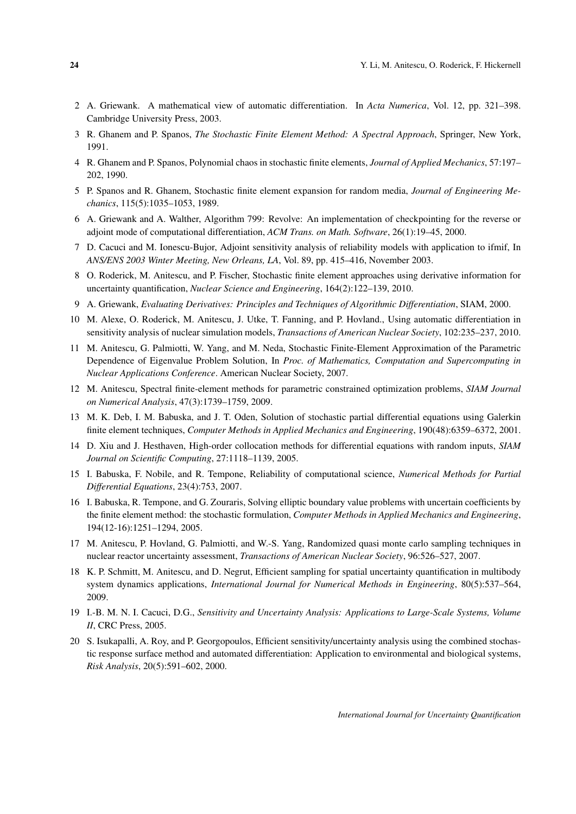- 2 A. Griewank. A mathematical view of automatic differentiation. In *Acta Numerica*, Vol. 12, pp. 321–398. Cambridge University Press, 2003.
- 3 R. Ghanem and P. Spanos, *The Stochastic Finite Element Method: A Spectral Approach*, Springer, New York, 1991.
- 4 R. Ghanem and P. Spanos, Polynomial chaos in stochastic finite elements, *Journal of Applied Mechanics*, 57:197– 202, 1990.
- 5 P. Spanos and R. Ghanem, Stochastic finite element expansion for random media, *Journal of Engineering Mechanics*, 115(5):1035–1053, 1989.
- 6 A. Griewank and A. Walther, Algorithm 799: Revolve: An implementation of checkpointing for the reverse or adjoint mode of computational differentiation, *ACM Trans. on Math. Software*, 26(1):19–45, 2000.
- 7 D. Cacuci and M. Ionescu-Bujor, Adjoint sensitivity analysis of reliability models with application to ifmif, In *ANS/ENS 2003 Winter Meeting, New Orleans, LA*, Vol. 89, pp. 415–416, November 2003.
- 8 O. Roderick, M. Anitescu, and P. Fischer, Stochastic finite element approaches using derivative information for uncertainty quantification, *Nuclear Science and Engineering*, 164(2):122–139, 2010.
- 9 A. Griewank, *Evaluating Derivatives: Principles and Techniques of Algorithmic Differentiation*, SIAM, 2000.
- 10 M. Alexe, O. Roderick, M. Anitescu, J. Utke, T. Fanning, and P. Hovland., Using automatic differentiation in sensitivity analysis of nuclear simulation models, *Transactions of American Nuclear Society*, 102:235–237, 2010.
- 11 M. Anitescu, G. Palmiotti, W. Yang, and M. Neda, Stochastic Finite-Element Approximation of the Parametric Dependence of Eigenvalue Problem Solution, In *Proc. of Mathematics, Computation and Supercomputing in Nuclear Applications Conference*. American Nuclear Society, 2007.
- 12 M. Anitescu, Spectral finite-element methods for parametric constrained optimization problems, *SIAM Journal on Numerical Analysis*, 47(3):1739–1759, 2009.
- 13 M. K. Deb, I. M. Babuska, and J. T. Oden, Solution of stochastic partial differential equations using Galerkin finite element techniques, *Computer Methods in Applied Mechanics and Engineering*, 190(48):6359–6372, 2001.
- 14 D. Xiu and J. Hesthaven, High-order collocation methods for differential equations with random inputs, *SIAM Journal on Scientific Computing*, 27:1118–1139, 2005.
- 15 I. Babuska, F. Nobile, and R. Tempone, Reliability of computational science, *Numerical Methods for Partial Differential Equations*, 23(4):753, 2007.
- 16 I. Babuska, R. Tempone, and G. Zouraris, Solving elliptic boundary value problems with uncertain coefficients by the finite element method: the stochastic formulation, *Computer Methods in Applied Mechanics and Engineering*, 194(12-16):1251–1294, 2005.
- 17 M. Anitescu, P. Hovland, G. Palmiotti, and W.-S. Yang, Randomized quasi monte carlo sampling techniques in nuclear reactor uncertainty assessment, *Transactions of American Nuclear Society*, 96:526–527, 2007.
- 18 K. P. Schmitt, M. Anitescu, and D. Negrut, Efficient sampling for spatial uncertainty quantification in multibody system dynamics applications, *International Journal for Numerical Methods in Engineering*, 80(5):537–564, 2009.
- 19 I.-B. M. N. I. Cacuci, D.G., *Sensitivity and Uncertainty Analysis: Applications to Large-Scale Systems, Volume II*, CRC Press, 2005.
- 20 S. Isukapalli, A. Roy, and P. Georgopoulos, Efficient sensitivity/uncertainty analysis using the combined stochastic response surface method and automated differentiation: Application to environmental and biological systems, *Risk Analysis*, 20(5):591–602, 2000.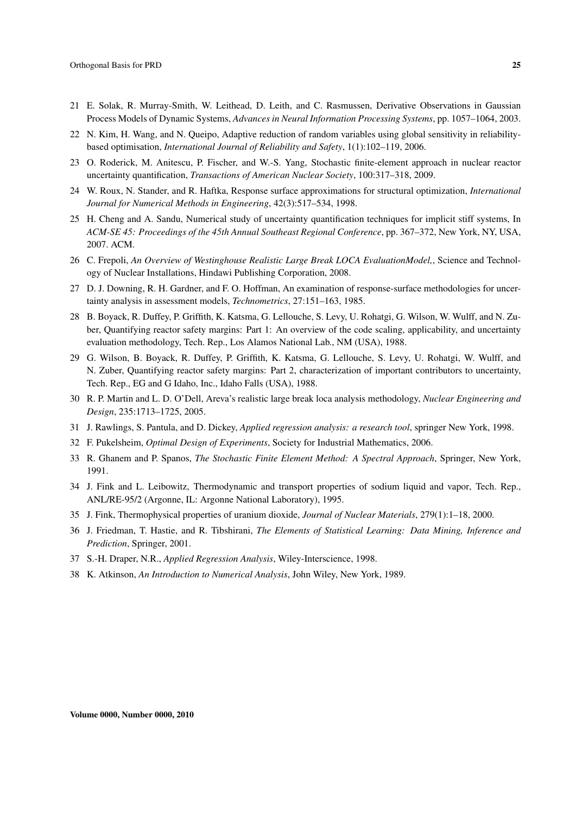- 21 E. Solak, R. Murray-Smith, W. Leithead, D. Leith, and C. Rasmussen, Derivative Observations in Gaussian Process Models of Dynamic Systems, *Advances in Neural Information Processing Systems*, pp. 1057–1064, 2003.
- 22 N. Kim, H. Wang, and N. Queipo, Adaptive reduction of random variables using global sensitivity in reliabilitybased optimisation, *International Journal of Reliability and Safety*, 1(1):102–119, 2006.
- 23 O. Roderick, M. Anitescu, P. Fischer, and W.-S. Yang, Stochastic finite-element approach in nuclear reactor uncertainty quantification, *Transactions of American Nuclear Society*, 100:317–318, 2009.
- 24 W. Roux, N. Stander, and R. Haftka, Response surface approximations for structural optimization, *International Journal for Numerical Methods in Engineering*, 42(3):517–534, 1998.
- 25 H. Cheng and A. Sandu, Numerical study of uncertainty quantification techniques for implicit stiff systems, In *ACM-SE 45: Proceedings of the 45th Annual Southeast Regional Conference*, pp. 367–372, New York, NY, USA, 2007. ACM.
- 26 C. Frepoli, *An Overview of Westinghouse Realistic Large Break LOCA EvaluationModel,*, Science and Technology of Nuclear Installations, Hindawi Publishing Corporation, 2008.
- 27 D. J. Downing, R. H. Gardner, and F. O. Hoffman, An examination of response-surface methodologies for uncertainty analysis in assessment models, *Technometrics*, 27:151–163, 1985.
- 28 B. Boyack, R. Duffey, P. Griffith, K. Katsma, G. Lellouche, S. Levy, U. Rohatgi, G. Wilson, W. Wulff, and N. Zuber, Quantifying reactor safety margins: Part 1: An overview of the code scaling, applicability, and uncertainty evaluation methodology, Tech. Rep., Los Alamos National Lab., NM (USA), 1988.
- 29 G. Wilson, B. Boyack, R. Duffey, P. Griffith, K. Katsma, G. Lellouche, S. Levy, U. Rohatgi, W. Wulff, and N. Zuber, Quantifying reactor safety margins: Part 2, characterization of important contributors to uncertainty, Tech. Rep., EG and G Idaho, Inc., Idaho Falls (USA), 1988.
- 30 R. P. Martin and L. D. O'Dell, Areva's realistic large break loca analysis methodology, *Nuclear Engineering and Design*, 235:1713–1725, 2005.
- 31 J. Rawlings, S. Pantula, and D. Dickey, *Applied regression analysis: a research tool*, springer New York, 1998.
- 32 F. Pukelsheim, *Optimal Design of Experiments*, Society for Industrial Mathematics, 2006.
- 33 R. Ghanem and P. Spanos, *The Stochastic Finite Element Method: A Spectral Approach*, Springer, New York, 1991.
- 34 J. Fink and L. Leibowitz, Thermodynamic and transport properties of sodium liquid and vapor, Tech. Rep., ANL/RE-95/2 (Argonne, IL: Argonne National Laboratory), 1995.
- 35 J. Fink, Thermophysical properties of uranium dioxide, *Journal of Nuclear Materials*, 279(1):1–18, 2000.
- 36 J. Friedman, T. Hastie, and R. Tibshirani, *The Elements of Statistical Learning: Data Mining, Inference and Prediction*, Springer, 2001.
- 37 S.-H. Draper, N.R., *Applied Regression Analysis*, Wiley-Interscience, 1998.
- 38 K. Atkinson, *An Introduction to Numerical Analysis*, John Wiley, New York, 1989.